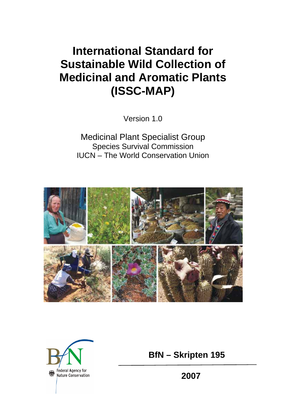# **International Standard for Sustainable Wild Collection of Medicinal and Aromatic Plants (ISSC-MAP)**

Version 1.0

Medicinal Plant Specialist Group Species Survival Commission IUCN – The World Conservation Union





 **BfN – Skripten 195** 

 **2007**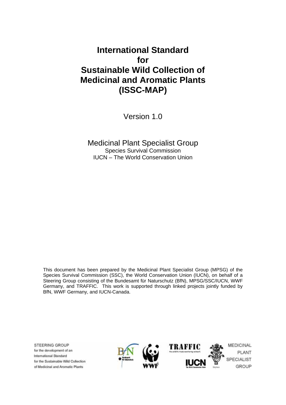## **International Standard for Sustainable Wild Collection of Medicinal and Aromatic Plants (ISSC-MAP)**

Version 1.0

Medicinal Plant Specialist Group Species Survival Commission IUCN – The World Conservation Union

This document has been prepared by the Medicinal Plant Specialist Group (MPSG) of the Species Survival Commission (SSC), the World Conservation Union (IUCN), on behalf of a Steering Group consisting of the Bundesamt für Naturschutz (BfN), MPSG/SSC/IUCN, WWF Germany, and TRAFFIC. This work is supported through linked projects jointly funded by BfN, WWF Germany, and IUCN-Canada.

**STEERING GROUP** for the development of an **International Standard** for the Sustainable Wild Collection of Medicinal and Aromatic Plants

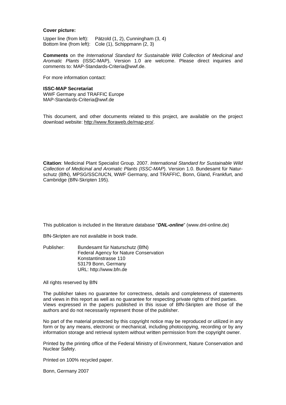#### **Cover picture:**

Upper line (from left): Pätzold (1, 2), Cunningham (3, 4) Bottom line (from left): Cole (1), Schippmann (2, 3)

**Comments** on the *International Standard for Sustainable Wild Collection of Medicinal and Aromatic Plants* (ISSC-MAP), Version 1.0 are welcome. Please direct inquiries and comments to: MAP-Standards-Criteria@wwf.de.

For more information contact:

#### **ISSC-MAP Secretariat**

WWF Germany and TRAFFIC Europe MAP-Standards-Criteria@wwf.de

This document, and other documents related to this project, are available on the project download website: http://www.floraweb.de/map-pro/.

**Citation**: Medicinal Plant Specialist Group. 2007. *International Standard for Sustainable Wild Collection of Medicinal and Aromatic Plants (ISSC-MAP*). Version 1.0. Bundesamt für Naturschutz (BfN), MPSG/SSC/IUCN, WWF Germany, and TRAFFIC, Bonn, Gland, Frankfurt, and Cambridge (BfN-Skripten 195).

This publication is included in the literature database "*DNL-online*" (www.dnl-online.de)

BfN-Skripten are not available in book trade.

Publisher: Bundesamt für Naturschutz (BfN) Federal Agency for Nature Conservation Konstantinstrasse 110 53179 Bonn, Germany URL: http://www.bfn.de

All rights reserved by BfN

The publisher takes no guarantee for correctness, details and completeness of statements and views in this report as well as no guarantee for respecting private rights of third parties. Views expressed in the papers published in this issue of BfN-Skripten are those of the authors and do not necessarily represent those of the publisher.

No part of the material protected by this copyright notice may be reproduced or utilized in any form or by any means, electronic or mechanical, including photocopying, recording or by any information storage and retrieval system without written permission from the copyright owner.

Printed by the printing office of the Federal Ministry of Environment, Nature Conservation and Nuclear Safety.

Printed on 100% recycled paper.

Bonn, Germany 2007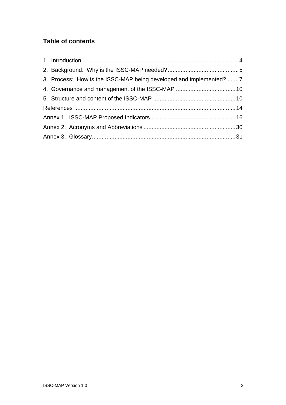## **Table of contents**

| 3. Process: How is the ISSC-MAP being developed and implemented? 7 |  |
|--------------------------------------------------------------------|--|
|                                                                    |  |
|                                                                    |  |
|                                                                    |  |
|                                                                    |  |
|                                                                    |  |
|                                                                    |  |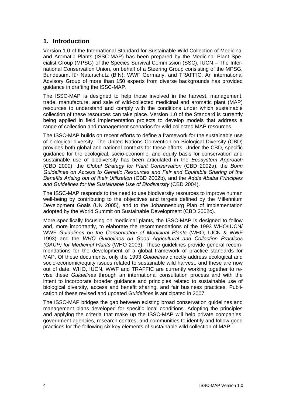## **1. Introduction**

Version 1.0 of the International Standard for Sustainable Wild Collection of Medicinal and Aromatic Plants (ISSC-MAP) has been prepared by the Medicinal Plant Specialist Group (MPSG) of the Species Survival Commission (SSC), IUCN – The International Conservation Union, on behalf of a Steering Group consisting of the MPSG, Bundesamt für Naturschutz (BfN), WWF Germany, and TRAFFIC. An international Advisory Group of more than 150 experts from diverse backgrounds has provided guidance in drafting the ISSC-MAP.

The ISSC-MAP is designed to help those involved in the harvest, management, trade, manufacture, and sale of wild-collected medicinal and aromatic plant (MAP) resources to understand and comply with the conditions under which sustainable collection of these resources can take place. Version 1.0 of the Standard is currently being applied in field implementation projects to develop models that address a range of collection and management scenarios for wild-collected MAP resources.

The ISSC-MAP builds on recent efforts to define a framework for the sustainable use of biological diversity. The United Nations Convention on Biological Diversity (CBD) provides both global and national contexts for these efforts. Under the CBD, specific guidance for the ecological, socio-economic, and equity basis for conservation and sustainable use of biodiversity has been articulated in the *Ecosystem Approach*  (CBD 2000), the *Global Strategy for Plant Conservation* (CBD 2002a), the *Bonn Guidelines on Access to Genetic Resources and Fair and Equitable Sharing of the Benefits Arising out of their Utilization* (CBD 2002b), and the *Addis Ababa Principles and Guidelines for the Sustainable Use of Biodiversity* (CBD 2004).

The ISSC-MAP responds to the need to use biodiversity resources to improve human well-being by contributing to the objectives and targets defined by the Millennium Development Goals (UN 2005), and to the Johannesburg Plan of Implementation adopted by the World Summit on Sustainable Development (CBD 2002c).

More specifically focusing on medicinal plants, the ISSC-MAP is designed to follow and, more importantly, to elaborate the recommendations of the 1993 WHO/IUCN/ WWF *Guidelines on the Conservation of Medicinal Plants* (WHO, IUCN & WWF 1993) and the *WHO Guidelines on Good Agricultural and Collection Practices (GACP) for Medicinal Plants* (WHO 2003). These guidelines provide general recommendations for the development of a global framework of practice standards for MAP. Of these documents, only the 1993 *Guidelines* directly address ecological and socio-economic/equity issues related to sustainable wild harvest, and these are now out of date. WHO, IUCN, WWF and TRAFFIC are currently working together to revise these *Guidelines* through an international consultation process and with the intent to incorporate broader guidance and principles related to sustainable use of biological diversity, access and benefit sharing, and fair business practices. Publication of these revised and updated G*uidelines* is anticipated in 2007.

The ISSC-MAP bridges the gap between existing broad conservation guidelines and management plans developed for specific local conditions. Adopting the principles and applying the criteria that make up the ISSC-MAP will help private companies, government agencies, research centres, and communities to identify and follow good practices for the following six key elements of sustainable wild collection of MAP: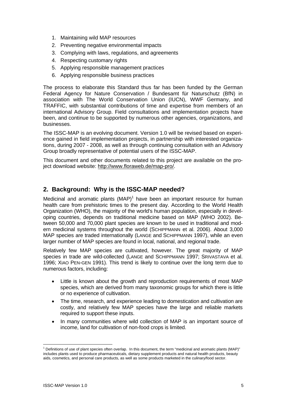- 1. Maintaining wild MAP resources
- 2. Preventing negative environmental impacts
- 3. Complying with laws, regulations, and agreements
- 4. Respecting customary rights
- 5. Applying responsible management practices
- 6. Applying responsible business practices

The process to elaborate this Standard thus far has been funded by the German Federal Agency for Nature Conservation / Bundesamt für Naturschutz (BfN) in association with The World Conservation Union (IUCN), WWF Germany, and TRAFFIC, with substantial contributions of time and expertise from members of an international Advisory Group. Field consultations and implementation projects have been, and continue to be supported by numerous other agencies, organizations, and businesses.

The ISSC-MAP is an evolving document. Version 1.0 will be revised based on experience gained in field implementation projects, in partnership with interested organizations, during 2007 - 2008, as well as through continuing consultation with an Advisory Group broadly representative of potential users of the ISSC-MAP.

This document and other documents related to this project are available on the project download website: http://www.floraweb.de/map-pro/.

### **2. Background: Why is the ISSC-MAP needed?**

Medicinal and aromatic plants  $(MAP)^1$  have been an important resource for human health care from prehistoric times to the present day. According to the World Health Organization (WHO), the majority of the world's human population, especially in developing countries, depends on traditional medicine based on MAP (WHO 2002). Between 50,000 and 70,000 plant species are known to be used in traditional and modern medicinal systems throughout the world (SCHIPPMANN et al. 2006). About 3,000 MAP species are traded internationally (LANGE and SCHIPPMANN 1997), while an even larger number of MAP species are found in local, national, and regional trade.

Relatively few MAP species are cultivated, however. The great majority of MAP species in trade are wild-collected (LANGE and SCHIPPMANN 1997; SRIVASTAVA et al. 1996; XIAO PEN-GEN 1991). This trend is likely to continue over the long term due to numerous factors, including:

- Little is known about the growth and reproduction requirements of most MAP species, which are derived from many taxonomic groups for which there is little or no experience of cultivation.
- The time, research, and experience leading to domestication and cultivation are costly, and relatively few MAP species have the large and reliable markets required to support these inputs.
- In many communities where wild collection of MAP is an important source of income, land for cultivation of non-food crops is limited.

<sup>1</sup>  $1$  Definitions of use of plant species often overlap. In this document, the term "medicinal and aromatic plants (MAP)" includes plants used to produce pharmaceuticals, dietary supplement products and natural health products, beauty aids, cosmetics, and personal care products, as well as some products marketed in the culinary/food sector.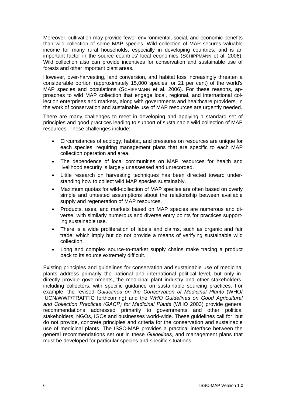Moreover, cultivation may provide fewer environmental, social, and economic benefits than wild collection of some MAP species. Wild collection of MAP secures valuable income for many rural households, especially in developing countries, and is an important factor in the source countries' local economies (SCHIPPMANN et al. 2006). Wild collection also can provide incentives for conservation and sustainable use of forests and other important plant areas.

However, over-harvesting, land conversion, and habitat loss increasingly threaten a considerable portion (approximately 15,000 species, or 21 per cent) of the world's MAP species and populations (SCHIPPMANN et al. 2006). For these reasons, approaches to wild MAP collection that engage local, regional, and international collection enterprises and markets, along with governments and healthcare providers, in the work of conservation and sustainable use of MAP resources are urgently needed.

There are many challenges to meet in developing and applying a standard set of principles and good practices leading to support of sustainable wild collection of MAP resources. These challenges include:

- Circumstances of ecology, habitat, and pressures on resources are unique for each species, requiring management plans that are specific to each MAP collection operation and area.
- The dependence of local communities on MAP resources for health and livelihood security is largely unassessed and unrecorded.
- Little research on harvesting techniques has been directed toward understanding how to collect wild MAP species sustainably.
- Maximum quotas for wild-collection of MAP species are often based on overly simple and untested assumptions about the relationship between available supply and regeneration of MAP resources.
- Products, uses, and markets based on MAP species are numerous and diverse, with similarly numerous and diverse entry points for practices supporting sustainable use.
- There is a wide proliferation of labels and claims, such as organic and fair trade, which imply but do not provide a means of verifying sustainable wild collection.
- Long and complex source-to-market supply chains make tracing a product back to its source extremely difficult.

Existing principles and guidelines for conservation and sustainable use of medicinal plants address primarily the national and international political level, but only indirectly provide governments, the medicinal plant industry and other stakeholders, including collectors, with specific guidance on sustainable sourcing practices. For example, the revised *Guidelines on the Conservation of Medicinal Plants* (WHO/ IUCN/WWF/TRAFFIC forthcoming) and the *WHO Guidelines on Good Agricultural and Collection Practices (GACP) for Medicinal Plants* (WHO 2003) provide general recommendations addressed primarily to governments and other political stakeholders, NGOs, IGOs and businesses world-wide. These guidelines call for, but do not provide, concrete principles and criteria for the conservation and sustainable use of medicinal plants. The ISSC-MAP provides a practical interface between the general recommendations set out in these *Guidelines*, and management plans that must be developed for particular species and specific situations.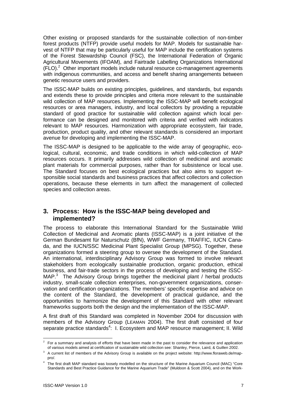Other existing or proposed standards for the sustainable collection of non-timber forest products (NTFP) provide useful models for MAP. Models for sustainable harvest of NTFP that may be particularly useful for MAP include the certification systems of the Forest Stewardship Council (FSC), the International Federation of Organic Agricultural Movements (IFOAM), and Fairtrade Labelling Organizations International  $(FLO)<sup>2</sup>$  Other important models include natural resource co-management agreements with indigenous communities, and access and benefit sharing arrangements between genetic resource users and providers.

The ISSC-MAP builds on existing principles, guidelines, and standards, but expands and extends these to provide principles and criteria more relevant to the sustainable wild collection of MAP resources. Implementing the ISSC-MAP will benefit ecological resources or area managers, industry, and local collectors by providing a reputable standard of good practice for sustainable wild collection against which local performance can be designed and monitored with criteria and verified with indicators relevant to MAP resources. Harmonization with appropriate ecosystem, fair trade, production, product quality, and other relevant standards is considered an important avenue for developing and implementing the ISSC-MAP.

The ISSC-MAP is designed to be applicable to the wide array of geographic, ecological, cultural, economic, and trade conditions in which wild-collection of MAP resources occurs. It primarily addresses wild collection of medicinal and aromatic plant materials for commercial purposes, rather than for subsistence or local use. The Standard focuses on best ecological practices but also aims to support responsible social standards and business practices that affect collectors and collection operations, because these elements in turn affect the management of collected species and collection areas.

### **3. Process: How is the ISSC-MAP being developed and implemented?**

The process to elaborate this International Standard for the Sustainable Wild Collection of Medicinal and Aromatic plants (ISSC-MAP) is a joint initiative of the German Bundesamt für Naturschutz (BfN), WWF Germany, TRAFFIC, IUCN Canada, and the IUCN/SSC Medicinal Plant Specialist Group (MPSG). Together, these organizations formed a steering group to oversee the development of the Standard. An international, interdisciplinary Advisory Group was formed to involve relevant stakeholders from ecologically sustainable production, organic production, ethical business, and fair-trade sectors in the process of developing and testing the ISSC-MAP.<sup>3</sup> The Advisory Group brings together the medicinal plant / herbal products industry, small-scale collection enterprises, non-government organizations, conservation and certification organizations. The members' specific expertise and advice on the content of the Standard, the development of practical guidance, and the opportunities to harmonize the development of this Standard with other relevant frameworks supports both the design and the implementation of the ISSC-MAP.

A first draft of this Standard was completed in November 2004 for discussion with members of the Advisory Group (LEAMAN 2004). The first draft consisted of four separate practice standards<sup>4</sup>: I. Ecosystem and MAP resource management; II. Wild

<sup>1</sup> 2 For a summary and analysis of efforts that have been made in the past to consider the relevance and application of various models aimed at certification of sustainable wild collection see: Shanley, Pierce, Laird, & Guillen 2002.

<sup>3</sup> A current list of members of the Advisory Group is available on the project website: http://www.floraweb.de/mappro/.

<sup>4</sup> The first draft MAP standard was loosely modelled on the structure of the Marine Aquarium Council (MAC) "Core Standards and Best Practice Guidance for the Marine Aquarium Trade" (Muldoon & Scott 2004), and on the Work-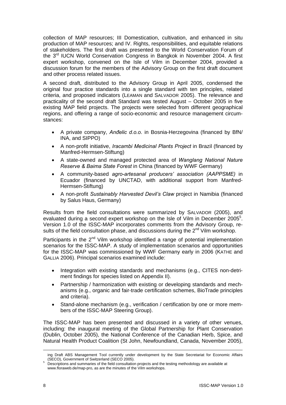collection of MAP resources; III Domestication, cultivation, and enhanced in situ production of MAP resources; and IV. Rights, responsibilities, and equitable relations of stakeholders. The first draft was presented to the World Conservation Forum of the 3rd IUCN World Conservation Congress in Bangkok in November 2004. A first expert workshop, convened on the Isle of Vilm in December 2004, provided a discussion forum for the members of the Advisory Group on the first draft document and other process related issues.

A second draft, distributed to the Advisory Group in April 2005, condensed the original four practice standards into a single standard with ten principles, related criteria, and proposed indicators (LEAMAN and SALVADOR 2005). The relevance and practicality of the second draft Standard was tested August – October 2005 in five existing MAP field projects. The projects were selected from different geographical regions, and offering a range of socio-economic and resource management circumstances:

- A private company, *Anđelic d.o.o*. in Bosnia-Herzegovina (financed by BfN/ INA, and SIPPO)
- A non-profit initiative, *Iracambi Medicinal Plants Project* in Brazil (financed by Manfred-Hermsen-Stiftung)
- A state-owned and managed protected area of *Wanglang National Nature Reserve & Baima State Forest* in China (financed by WWF Germany)
- A community-based *agro-artesanal producers' association (AAPPSME)* in Ecuador (financed by UNCTAD, with additional support from Manfred-Hermsen-Stiftung)
- A non-profit *Sustainably Harvested Devil's Claw* project in Namibia (financed by Salus Haus, Germany)

Results from the field consultations were summarized by SALVADOR (2005), and evaluated during a second expert workshop on the Isle of Vilm in December 2005<sup>5</sup>. Version 1.0 of the ISSC-MAP incorporates comments from the Advisory Group, results of the field consultation phase, and discussions during the 2<sup>nd</sup> Vilm workshop.

Participants in the  $2^{nd}$  Vilm workshop identified a range of potential implementation scenarios for the ISSC-MAP. A study of implementation scenarios and opportunities for the ISSC-MAP was commissioned by WWF Germany early in 2006 (KATHE and GALLIA 2006). Principal scenarios examined include:

- Integration with existing standards and mechanisms (e.g., CITES non-detriment findings for species listed on Appendix II).
- Partnership / harmonization with existing or developing standards and mechanisms (e.g., organic and fair-trade certification schemes, BioTrade principles and criteria).
- Stand-alone mechanism (e.g., verification / certification by one or more members of the ISSC-MAP Steering Group).

The ISSC-MAP has been presented and discussed in a variety of other venues, including: the inaugural meeting of the Global Partnership for Plant Conservation (Dublin, October 2005), the National Conference of the Canadian Herb, Spice, and Natural Health Product Coalition (St John, Newfoundland, Canada, November 2005),

1

ing Draft ABS Management Tool currently under development by the State Secretariat for Economic Affairs (SECO), Government of Switzerland (SECO 2005).

Descriptions and summaries of the field consultation projects and the testing methodology are available at www.floraweb.de/map-pro, as are the minutes of the Vilm workshops.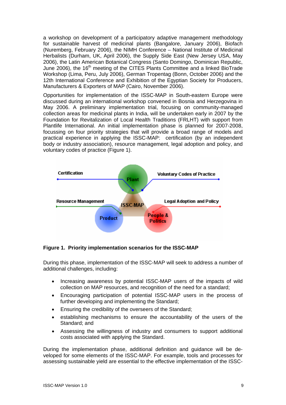a workshop on development of a participatory adaptive management methodology for sustainable harvest of medicinal plants (Bangalore, January 2006), Biofach (Nuremberg, February 2006), the NIMH Conference – National Institute of Medicinal Herbalists (Durham, UK, April 2006), the Supply Side East (New Jersey USA, May 2006), the Latin American Botanical Congress (Santo Domingo, Dominican Republic, June 2006), the 16<sup>th</sup> meeting of the CITES Plants Committee and a linked BioTrade Workshop (Lima, Peru, July 2006), German Tropentag (Bonn, October 2006) and the 12th International Conference and Exhibition of the Egyptian Society for Producers, Manufacturers & Exporters of MAP (Cairo, November 2006).

Opportunities for implementation of the ISSC-MAP in South-eastern Europe were discussed during an international workshop convened in Bosnia and Herzegovina in May 2006. A preliminary implementation trial, focusing on community-managed collection areas for medicinal plants in India, will be undertaken early in 2007 by the Foundation for Revitalization of Local Health Traditions (FRLHT) with support from Plantlife International. An initial implementation phase is planned for 2007-2008, focussing on four priority strategies that will provide a broad range of models and practical experience in applying the ISSC-MAP: certification (by an independent body or industry association), resource management, legal adoption and policy, and voluntary codes of practice (Figure 1).



**Figure 1. Priority implementation scenarios for the ISSC-MAP** 

During this phase, implementation of the ISSC-MAP will seek to address a number of additional challenges, including:

- Increasing awareness by potential ISSC-MAP users of the impacts of wild collection on MAP resources, and recognition of the need for a standard;
- Encouraging participation of potential ISSC-MAP users in the process of further developing and implementing the Standard;
- Ensuring the credibility of the overseers of the Standard;
- establishing mechanisms to ensure the accountability of the users of the Standard; and
- Assessing the willingness of industry and consumers to support additional costs associated with applying the Standard.

During the implementation phase, additional definition and guidance will be developed for some elements of the ISSC-MAP. For example, tools and processes for assessing sustainable yield are essential to the effective implementation of the ISSC-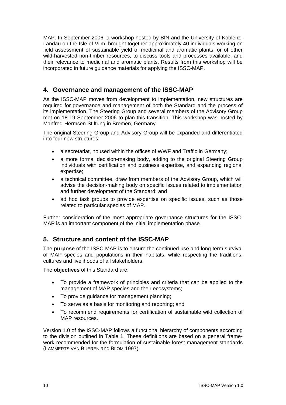MAP. In September 2006, a workshop hosted by BfN and the University of Koblenz-Landau on the Isle of Vilm, brought together approximately 40 individuals working on field assessment of sustainable yield of medicinal and aromatic plants, or of other wild-harvested non-timber resources, to discuss tools and processes available, and their relevance to medicinal and aromatic plants. Results from this workshop will be incorporated in future guidance materials for applying the ISSC-MAP.

## **4. Governance and management of the ISSC-MAP**

As the ISSC-MAP moves from development to implementation, new structures are required for governance and management of both the Standard and the process of its implementation. The Steering Group and several members of the Advisory Group met on 18-19 September 2006 to plan this transition. This workshop was hosted by Manfred-Hermsen-Stiftung in Bremen, Germany.

The original Steering Group and Advisory Group will be expanded and differentiated into four new structures:

- a secretariat, housed within the offices of WWF and Traffic in Germany;
- a more formal decision-making body, adding to the original Steering Group individuals with certification and business expertise, and expanding regional expertise;
- a technical committee, draw from members of the Advisory Group, which will advise the decision-making body on specific issues related to implementation and further development of the Standard; and
- ad hoc task groups to provide expertise on specific issues, such as those related to particular species of MAP.

Further consideration of the most appropriate governance structures for the ISSC-MAP is an important component of the initial implementation phase.

## **5. Structure and content of the ISSC-MAP**

The **purpose** of the ISSC-MAP is to ensure the continued use and long-term survival of MAP species and populations in their habitats, while respecting the traditions, cultures and livelihoods of all stakeholders.

The **objectives** of this Standard are:

- To provide a framework of principles and criteria that can be applied to the management of MAP species and their ecosystems;
- To provide guidance for management planning;
- To serve as a basis for monitoring and reporting; and
- To recommend requirements for certification of sustainable wild collection of MAP resources.

Version 1.0 of the ISSC-MAP follows a functional hierarchy of components according to the division outlined in Table 1. These definitions are based on a general framework recommended for the formulation of sustainable forest management standards (LAMMERTS VAN BUEREN and BLOM 1997).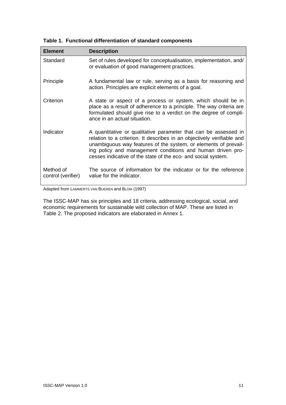| <b>Element</b>                  | <b>Description</b>                                                                                                                                                                                                                                                                                                                          |
|---------------------------------|---------------------------------------------------------------------------------------------------------------------------------------------------------------------------------------------------------------------------------------------------------------------------------------------------------------------------------------------|
| Standard                        | Set of rules developed for conceptualisation, implementation, and/<br>or evaluation of good management practices.                                                                                                                                                                                                                           |
| Principle                       | A fundamental law or rule, serving as a basis for reasoning and<br>action. Principles are explicit elements of a goal.                                                                                                                                                                                                                      |
| Criterion                       | A state or aspect of a process or system, which should be in<br>place as a result of adherence to a principle. The way criteria are<br>formulated should give rise to a verdict on the degree of compli-<br>ance in an actual situation.                                                                                                    |
| Indicator                       | A quantitative or qualitative parameter that can be assessed in<br>relation to a criterion. It describes in an objectively verifiable and<br>unambiguous way features of the system, or elements of prevail-<br>ing policy and management conditions and human driven pro-<br>cesses indicative of the state of the eco- and social system. |
| Method of<br>control (verifier) | The source of information for the indicator or for the reference<br>value for the indicator.                                                                                                                                                                                                                                                |

**Table 1. Functional differentiation of standard components** 

Adapted from LAMMERTS VAN BUEREN and BLOM (1997)

The ISSC-MAP has six principles and 18 criteria, addressing ecological, social, and economic requirements for sustainable wild collection of MAP. These are listed in Table 2. The proposed indicators are elaborated in Annex 1.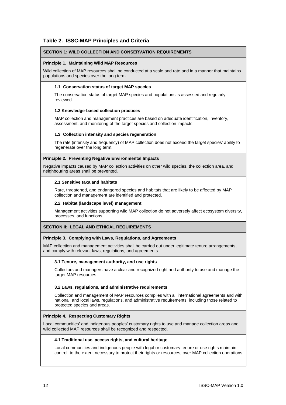### **Table 2. ISSC-MAP Principles and Criteria**

#### **SECTION 1: WILD COLLECTION AND CONSERVATION REQUIREMENTS**

#### **Principle 1. Maintaining Wild MAP Resources**

Wild collection of MAP resources shall be conducted at a scale and rate and in a manner that maintains populations and species over the long term.

#### **1.1 Conservation status of target MAP species**

The conservation status of target MAP species and populations is assessed and regularly reviewed.

#### **1.2 Knowledge-based collection practices**

MAP collection and management practices are based on adequate identification, inventory, assessment, and monitoring of the target species and collection impacts.

#### **1.3 Collection intensity and species regeneration**

The rate (intensity and frequency) of MAP collection does not exceed the target species' ability to regenerate over the long term.

#### **Principle 2. Preventing Negative Environmental Impacts**

Negative impacts caused by MAP collection activities on other wild species, the collection area, and neighbouring areas shall be prevented.

#### **2.1 Sensitive taxa and habitats**

Rare, threatened, and endangered species and habitats that are likely to be affected by MAP collection and management are identified and protected.

#### **2.2 Habitat (landscape level) management**

Management activities supporting wild MAP collection do not adversely affect ecosystem diversity, processes, and functions.

#### **SECTION II: LEGAL AND ETHICAL REQUIREMENTS**

#### **Principle 3. Complying with Laws, Regulations, and Agreements**

MAP collection and management activities shall be carried out under legitimate tenure arrangements, and comply with relevant laws, regulations, and agreements.

#### **3.1 Tenure, management authority, and use rights**

Collectors and managers have a clear and recognized right and authority to use and manage the target MAP resources.

#### **3.2 Laws, regulations, and administrative requirements**

Collection and management of MAP resources complies with all international agreements and with national, and local laws, regulations, and administrative requirements, including those related to protected species and areas.

#### **Principle 4. Respecting Customary Rights**

Local communities' and indigenous peoples' customary rights to use and manage collection areas and wild collected MAP resources shall be recognized and respected.

#### **4.1 Traditional use, access rights, and cultural heritage**

Local communities and indigenous people with legal or customary tenure or use rights maintain control, to the extent necessary to protect their rights or resources, over MAP collection operations.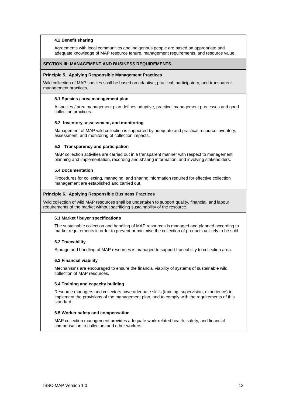#### **4.2 Benefit sharing**

Agreements with local communities and indigenous people are based on appropriate and adequate knowledge of MAP resource tenure, management requirements, and resource value.

#### **SECTION III: MANAGEMENT AND BUSINESS REQUIREMENTS**

#### **Principle 5. Applying Responsible Management Practices**

Wild collection of MAP species shall be based on adaptive, practical, participatory, and transparent management practices.

#### **5.1 Species / area management plan**

A species / area management plan defines adaptive, practical management processes and good collection practices.

#### **5.2 Inventory, assessment, and monitoring**

Management of MAP wild collection is supported by adequate and practical resource inventory, assessment, and monitoring of collection impacts.

#### **5.3 Transparency and participation**

MAP collection activities are carried out in a transparent manner with respect to management planning and implementation, recording and sharing information, and involving stakeholders.

#### **5.4 Documentation**

Procedures for collecting, managing, and sharing information required for effective collection management are established and carried out.

#### **Principle 6. Applying Responsible Business Practices**

Wild collection of wild MAP resources shall be undertaken to support quality, financial, and labour requirements of the market without sacrificing sustainability of the resource.

#### **6.1 Market / buyer specifications**

The sustainable collection and handling of MAP resources is managed and planned according to market requirements in order to prevent or minimise the collection of products unlikely to be sold.

#### **6.2 Traceability**

Storage and handling of MAP resources is managed to support traceability to collection area.

#### **6.3 Financial viability**

Mechanisms are encouraged to ensure the financial viability of systems of sustainable wild collection of MAP resources.

#### **6.4 Training and capacity building**

Resource managers and collectors have adequate skills (training, supervision, experience) to implement the provisions of the management plan, and to comply with the requirements of this standard.

#### **6.5 Worker safety and compensation**

MAP collection management provides adequate work-related health, safety, and financial compensation to collectors and other workers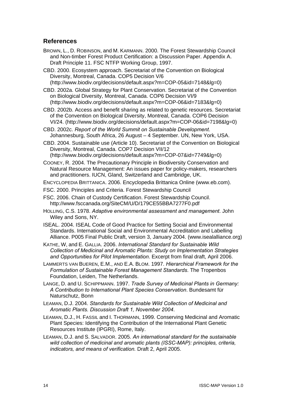### **References**

- BROWN, L., D. ROBINSON, and M. KARMANN. 2000. The Forest Stewardship Council and Non-timber Forest Product Certification: a Discussion Paper. Appendix A. Draft Principle 11. FSC NTFP Working Group, 1997.
- CBD. 2000. Ecosystem approach. Secretariat of the Convention on Biological Diversity, Montreal, Canada. COP5 Decision V/6 (http://www.biodiv.org/decisions/default.aspx?m=COP-05&id=7148&lg=0)

CBD. 2002a. Global Strategy for Plant Conservation. Secretariat of the Convention on Biological Diversity, Montreal, Canada. COP6 Decision VI/9 (http://www.biodiv.org/decisions/default.aspx?m=COP-06&id=7183&lg=0)

CBD. 2002b. Access and benefit sharing as related to genetic resources. Secretariat of the Convention on Biological Diversity, Montreal, Canada. COP6 Decision VI/24. (http://www.biodiv.org/decisions/default.aspx?m=COP-06&id=7198&lg=0)

CBD. 2002c. *Report of the World Summit on Sustainable Development*. Johannesburg, South Africa, 26 August – 4 September. UN, New York, USA.

CBD. 2004. Sustainable use (Article 10). Secretariat of the Convention on Biological Diversity, Montreal, Canada. COP7 Decision VII/12 (http://www.biodiv.org/decisions/default.aspx?m=COP-07&id=7749&lg=0)

COONEY, R. 2004. The Precautionary Principle in Biodiversity Conservation and Natural Resource Management: An issues paper for policy-makers, researchers and practitioners. IUCN, Gland, Switzerland and Cambridge, UK.

ENCYCLOPEDIA BRITTANICA. 2006. Encyclopedia Brittanica Online (www.eb.com).

- FSC. 2000. Principles and Criteria. Forest Stewardship Council
- FSC. 2006. Chain of Custody Certification. Forest Stewardship Council. http://www.fsccanada.org/SiteCM/U/D/179CE55BBA7277F0.pdf
- HOLLING, C.S. 1978. *Adaptive environmental assessment and management*. John Wiley and Sons, NY.
- ISEAL. 2004. ISEAL Code of Good Practice for Setting Social and Environmental Standards. International Social and Environmental Accreditation and Labelling Alliance. P005 Final Public Draft, version 3, January 2004. (www.isealalliance.org)

KATHE, W, and E. GALLIA. 2006. *International Standard for Sustainable Wild Collection of Medicinal and Aromatic Plants: Study on Implementation Strategies and Opportunities for Pilot Implementation*. Excerpt from final draft, April 2006.

LAMMERTS VAN BUEREN, E.M., AND E.A. BLOM. 1997. *Hierarchical Framework for the Formulation of Sustainable Forest Management Standards*. The Tropenbos Foundation, Leiden, The Netherlands.

- LANGE, D. and U. SCHIPPMANN. 1997. *Trade Survey of Medicinal Plants in Germany: A Contribution to International Plant Species Conservation*. Bundesamt für Naturschutz, Bonn
- LEAMAN, D.J. 2004. *Standards for Sustainable Wild Collection of Medicinal and Aromatic Plants. Discussion Draft 1, November 2004*.
- LEAMAN, D.J., H. FASSIL and I. THORMANN, 1999. Conserving Medicinal and Aromatic Plant Species: Identifying the Contribution of the International Plant Genetic Resources Institute (IPGRI), Rome, Italy.
- LEAMAN, D.J. and S. SALVADOR. 2005. *An international standard for the sustainable wild collection of medicinal and aromatic plants (ISSC-MAP): principles, criteria, indicators, and means of verification.* Draft 2, April 2005.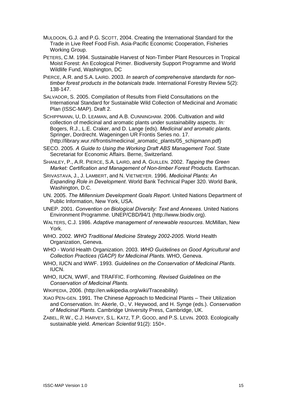- MULDOON, G.J. and P.G. SCOTT, 2004. Creating the International Standard for the Trade in Live Reef Food Fish. Asia-Pacific Economic Cooperation, Fisheries Working Group.
- PETERS, C.M. 1994. Sustainable Harvest of Non-Timber Plant Resources in Tropical Moist Forest: An Ecological Primer. Biodiversity Support Programme and World Wildlife Fund, Washington, DC
- PIERCE, A.R. and S.A. LAIRD. 2003. *In search of comprehensive standards for nontimber forest products in the botanicals trade*. International Forestry Review 5(2): 138-147.
- SALVADOR, S. 2005. Compilation of Results from Field Consultations on the International Standard for Sustainable Wild Collection of Medicinal and Aromatic Plan (ISSC-MAP). Draft 2.
- SCHIPPMANN, U, D. LEAMAN, and A.B. CUNNINGHAM. 2006. Cultivation and wild collection of medicinal and aromatic plants under sustainability aspects. *In:*  Bogers, R.J., L.E. Craker, and D. Lange (eds). *Medicinal and aromatic plants*. Springer, Dordrecht. Wageningen UR Frontis Series no. 17. (http://library.wur.nl/frontis/medicinal\_aromatic\_plants/05\_schipmann.pdf)
- SECO. 2005. *A Guide to Using the Working Draft ABS Management Tool*. State Secretariat for Economic Affairs. Berne, Switzerland.
- SHANLEY, P., A.R. PIERCE, S.A. LAIRD, and A. GUILLEN. 2002. *Tapping the Green Market: Certification and Management of Non-timber Forest Products*. Earthscan.
- SRIVASTAVA, J., J. LAMBERT, and N. VIETMEYER. 1996. *Medicinal Plants: An Expanding Role in Development*. World Bank Technical Paper 320. World Bank, Washington, D.C.
- UN. 2005. *The Millennium Development Goals Report*. United Nations Department of Public Information, New York, USA.
- UNEP. 2001. *Convention on Biological Diversity: Text and Annexes*. United Nations Environment Programme. UNEP/CBD/94/1 (http://www.biodiv.org).
- WALTERS, C.J. 1986. *Adaptive management of renewable resources*. McMillan, New York.
- WHO. 2002. *WHO Traditional Medicine Strategy 2002-2005*. World Health Organization, Geneva.
- WHO World Health Organization. 2003. *WHO Guidelines on Good Agricultural and Collection Practices (GACP) for Medicinal Plants*. WHO, Geneva.
- WHO, IUCN and WWF. 1993. *Guidelines on the Conservation of Medicinal Plants*. IUCN.
- WHO, IUCN, WWF, and TRAFFIC. Forthcoming. *Revised Guidelines on the Conservation of Medicinal Plants.*
- WIKIPEDIA, 2006. (http://en.wikipedia.org/wiki/Traceability)
- XIAO PEN-GEN. 1991. The Chinese Approach to Medicinal Plants Their Utilization and Conservation. In: Akerle, O., V. Heywood, and H. Synge (eds.). *Conservation of Medicinal Plants*. Cambridge University Press, Cambridge, UK.
- ZABEL, R.W., C.J. HARVEY, S.L. KATZ, T.P. GOOD, and P.S. LEVIN. 2003. Ecologically sustainable yield. *American Scientist* 91(2): 150+.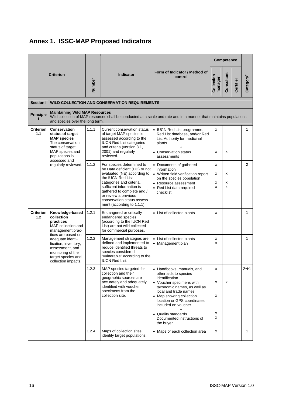

|                                                                                                                                                                                                    |                                                                                                                                                     |                                                                                                                                                                                                  |                                                                                                                                                                                                                                                                                            |                                                                                                                                                                                                                                                                                                              |                       | <b>Competence</b> |              |                       |
|----------------------------------------------------------------------------------------------------------------------------------------------------------------------------------------------------|-----------------------------------------------------------------------------------------------------------------------------------------------------|--------------------------------------------------------------------------------------------------------------------------------------------------------------------------------------------------|--------------------------------------------------------------------------------------------------------------------------------------------------------------------------------------------------------------------------------------------------------------------------------------------|--------------------------------------------------------------------------------------------------------------------------------------------------------------------------------------------------------------------------------------------------------------------------------------------------------------|-----------------------|-------------------|--------------|-----------------------|
|                                                                                                                                                                                                    | <b>Criterion</b>                                                                                                                                    | Number                                                                                                                                                                                           | <b>Indicator</b>                                                                                                                                                                                                                                                                           | Form of Indicator / Method of<br>control                                                                                                                                                                                                                                                                     | Collection<br>manager | Consultant        | Certifier    | Category <sup>6</sup> |
| Section I                                                                                                                                                                                          |                                                                                                                                                     |                                                                                                                                                                                                  | <b>WILD COLLECTION AND CONSERVATION REQUIREMENTS</b>                                                                                                                                                                                                                                       |                                                                                                                                                                                                                                                                                                              |                       |                   |              |                       |
| <b>Principle</b><br>1                                                                                                                                                                              | <b>Maintaining Wild MAP Resources</b><br>and species over the long term.                                                                            |                                                                                                                                                                                                  |                                                                                                                                                                                                                                                                                            | Wild collection of MAP resources shall be conducted at a scale and rate and in a manner that maintains populations                                                                                                                                                                                           |                       |                   |              |                       |
| <b>Criterion Conservation</b><br>1.1<br>status of target<br><b>MAP</b> species<br>The conservation<br>status of target<br>MAP species and<br>populations is<br>assessed and<br>regularly reviewed. | 1.1.1                                                                                                                                               | <b>Current conservation status</b><br>of target MAP species is<br>assessed according to the<br><b>IUCN Red List categories</b><br>and criteria (version 3.1,<br>2001) and regularly<br>reviewed. | • IUCN Red List programme,<br>Red List database, and/or Red<br>List Authority for medicinal<br>plants<br>• Conservation status<br>assessments                                                                                                                                              | x<br>x                                                                                                                                                                                                                                                                                                       | х                     |                   | $\mathbf{1}$ |                       |
|                                                                                                                                                                                                    |                                                                                                                                                     | 1.1.2                                                                                                                                                                                            | For species determined to<br>be Data deficient (DD) or not<br>evaluated (NE) according to<br>the IUCN Red List<br>categories and criteria.<br>sufficient information is<br>qathered to complete and /<br>or review a previous<br>conservation status assess-<br>ment (according to 1.1.1). | • Documents of gathered<br>information<br>• Written field verification report<br>on the species population<br>• Resource assessment<br>• Red List data required -<br>checklist                                                                                                                               | x<br>x<br>x<br>x      | x<br>х<br>x       |              | 2                     |
| 1.2                                                                                                                                                                                                | Criterion Knowledge-based<br>collection<br>practices<br>MAP collection and<br>management prac-                                                      | 1.2.1                                                                                                                                                                                            | Endangered or critically<br>endangered species<br>(according to the IUCN Red<br>List) are not wild collected<br>for commercial purposes.                                                                                                                                                   | • List of collected plants                                                                                                                                                                                                                                                                                   | x                     |                   |              | 1                     |
|                                                                                                                                                                                                    | tices are based on<br>adequate identi-<br>fication, inventory,<br>assessment, and<br>monitoring of the<br>target species and<br>collection impacts. | 1.2.2                                                                                                                                                                                            | Management strategies are<br>defined and implemented to<br>reduce identified threats to<br>species considered<br>"vulnerable" according to the<br><b>IUCN Red List.</b>                                                                                                                    | • List of collected plants<br>• Management plan                                                                                                                                                                                                                                                              | x<br>x                |                   |              | 1                     |
|                                                                                                                                                                                                    |                                                                                                                                                     | 1.2.3                                                                                                                                                                                            | MAP species targeted for<br>collection and their<br>geographic sources are<br>accurately and adequately<br>identified with voucher<br>specimens from the<br>collection site.                                                                                                               | • Handbooks, manuals, and<br>other aids to species<br>identification<br>• Voucher specimens with<br>taxonomic names, as well as<br>local and trade names<br>• Map showing collection<br>location or GPS coordinates<br>included on voucher<br>• Quality standards<br>Documented instructions of<br>the buyer | x<br>x<br>X<br>х<br>x | x                 |              | 2→1                   |
|                                                                                                                                                                                                    |                                                                                                                                                     | 1.2.4                                                                                                                                                                                            | Maps of collection sites<br>identify target populations.                                                                                                                                                                                                                                   | • Maps of each collection area                                                                                                                                                                                                                                                                               | x                     |                   |              | 1                     |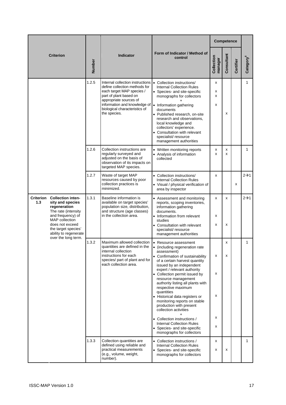|                                                                                                                                                                                                                                                 |        |                                                                                                                                                                                                                                     |                                                                                                                                                                                                                                                                                                                                                                                                                                                                                                                                                                                                        |                       | <b>Competence</b> |           |                       |
|-------------------------------------------------------------------------------------------------------------------------------------------------------------------------------------------------------------------------------------------------|--------|-------------------------------------------------------------------------------------------------------------------------------------------------------------------------------------------------------------------------------------|--------------------------------------------------------------------------------------------------------------------------------------------------------------------------------------------------------------------------------------------------------------------------------------------------------------------------------------------------------------------------------------------------------------------------------------------------------------------------------------------------------------------------------------------------------------------------------------------------------|-----------------------|-------------------|-----------|-----------------------|
| <b>Criterion</b>                                                                                                                                                                                                                                | Number | <b>Indicator</b>                                                                                                                                                                                                                    | Form of Indicator / Method of<br>control                                                                                                                                                                                                                                                                                                                                                                                                                                                                                                                                                               | Collection<br>manager | Consultant        | Certifier | Category <sup>6</sup> |
|                                                                                                                                                                                                                                                 | 1.2.5  | Internal collection instructions<br>define collection methods for<br>each target MAP species /<br>part of plant based on<br>appropriate sources of<br>information and knowledge of<br>biological characteristics of<br>the species. | • Collection instructions/<br><b>Internal Collection Rules</b><br>• Species- and site-specific<br>monographs for collectors<br>• Information gathering<br>documents<br>• Published research, on-site<br>research and observations,<br>local knowledge and<br>collectors' experience.<br>• Consultation with relevant<br>specialist/resource<br>management authorities                                                                                                                                                                                                                                  | x<br>x<br>X<br>x      | x                 |           | $\mathbf{1}$          |
|                                                                                                                                                                                                                                                 | 1.2.6  | Collection instructions are<br>regularly surveyed and<br>adjusted on the basis of<br>observation of its impacts on<br>targeted MAP species.                                                                                         | • Written monitoring reports<br>Analysis of information<br>collected                                                                                                                                                                                                                                                                                                                                                                                                                                                                                                                                   | x<br>x                | x<br>x            |           | 1                     |
|                                                                                                                                                                                                                                                 | 1.2.7  | Waste of target MAP<br>resources caused by poor<br>collection practices is<br>minimized.                                                                                                                                            | • Collection instructions/<br><b>Internal Collection Rules</b><br>• Visual / physical verification of<br>area by inspector                                                                                                                                                                                                                                                                                                                                                                                                                                                                             | x                     |                   | х         | $2\rightarrow 1$      |
| Criterion<br><b>Collection inten-</b><br>1.3<br>sity and species<br>regeneration<br>The rate (intensity<br>and frequency) of<br><b>MAP</b> collection<br>does not exceed<br>the target species'<br>ability to regenerate<br>over the long term. | 1.3.1  | Baseline information is<br>available on target species'<br>population size, distribution,<br>and structure (age classes)<br>in the collection area.                                                                                 | • Assessment and monitoring<br>reports, scoping inventories,<br>information gathering<br>documents.<br>• Information from relevant<br>studies<br>• Consultation with relevant<br>specialist/resource<br>management authorities                                                                                                                                                                                                                                                                                                                                                                         | x<br>x<br>x           | x<br>x            |           | $2\rightarrow 1$      |
|                                                                                                                                                                                                                                                 | 1.3.2  | Maximum allowed collection<br>quantities are defined in the<br>internal collection<br>instructions for each<br>species/ part of plant and for<br>each collection area.                                                              | Resource assessment<br>(including regeneration rate<br>$\bullet$<br>assessment)<br>• Confirmation of sustainability<br>of a certain harvest quantity<br>issued by an independent<br>expert / relevant authority<br>• Collection permit issued by<br>resource management<br>authority listing all plants with<br>respective maximum<br>quantities<br>• Historical data registers or<br>monitoring reports on stable<br>production with present<br>collection activities<br>• Collection instructions /<br><b>Internal Collection Rules</b><br>• Species- and site-specific<br>monographs for collectors | x<br>x<br>x<br>x<br>x | x<br>x            |           | 1                     |
|                                                                                                                                                                                                                                                 | 1.3.3  | Collection quantities are<br>defined using reliable and<br>practical measurements<br>(e.g., volume, weight,<br>number).                                                                                                             | • Collection instructions /<br><b>Internal Collection Rules</b><br>• Species- and site-specific<br>monographs for collectors                                                                                                                                                                                                                                                                                                                                                                                                                                                                           | х<br>x                | x                 |           | $\mathbf{1}$          |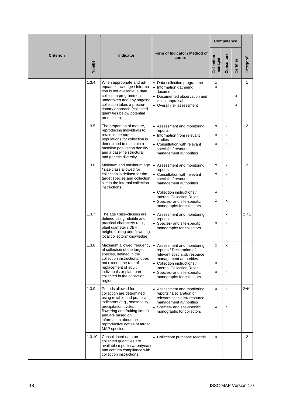|                  |        |                                                                                                                                                                                                                                                                            |                                                                                                                                                                                                                                                       |                       | Competence  |           |                       |
|------------------|--------|----------------------------------------------------------------------------------------------------------------------------------------------------------------------------------------------------------------------------------------------------------------------------|-------------------------------------------------------------------------------------------------------------------------------------------------------------------------------------------------------------------------------------------------------|-----------------------|-------------|-----------|-----------------------|
| <b>Criterion</b> | Number | <b>Indicator</b>                                                                                                                                                                                                                                                           | Form of Indicator / Method of<br>control                                                                                                                                                                                                              | Collection<br>manager | Consultant  | Certifier | Category <sup>6</sup> |
|                  | 1.3.4  | When appropriate and ad-<br>equate knowledge / informa-<br>tion is not available, a data<br>collection programme is<br>undertaken and any ongoing<br>collection takes a precau-<br>tionary approach (collected<br>quantities below potential<br>production).               | • Data collection programme<br>• Information gathering<br>documents.<br>• Documented observation and<br>visual appraisal<br>• Overall risk assessment                                                                                                 | x<br>X                |             | x<br>х    | $\mathbf{1}$          |
|                  | 1.3.5  | The proportion of mature,<br>reproducing individuals to<br>retain in the target<br>populations for collection is<br>determined to maintain a<br>baseline population density<br>and a baseline structural<br>and genetic diversity.                                         | • Assessment and monitoring<br>reports<br>• Information from relevant<br>studies<br>• Consultation with relevant<br>specialist/resource<br>management authorities                                                                                     | x<br>x<br>x           | x<br>x<br>x |           | $\overline{2}$        |
|                  | 1.3.6  | Minimum and maximum age<br>/ size class allowed for<br>collection is defined for the<br>target species and collection<br>site in the internal collection<br>instructions.                                                                                                  | • Assessment and monitoring<br>reports<br>• Consultation with relevant<br>specialist/resource<br>management authorities<br>• Collection instructions /<br><b>Internal Collection Rules</b><br>Species- and site-specific<br>monographs for collectors | x<br>x<br>x<br>х      | x<br>x<br>x |           | $\overline{2}$        |
|                  | 1.3.7  | The age / size-classes are<br>defined using reliable and<br>practical characters (e.g.,<br>plant diameter / DBH,<br>height, fruiting and flowering,<br>local collectors' knowledge).                                                                                       | • Assessment and monitoring<br>reports<br>• Species- and site-specific<br>monographs for collectors                                                                                                                                                   | x                     | x<br>x      |           | $2\rightarrow 1$      |
|                  | 1.3.8  | Maximum allowed frequency<br>of collection of the target<br>species, defined in the<br>collection instructions, does<br>not exceed the rate of<br>replacement of adult<br>individuals or plant part<br>collected in the collection<br>region.                              | • Assessment and monitoring<br>reports / Declaration of<br>relevant specialist/resource<br>management authorities<br>• Collection instructions /<br><b>Internal Collection Rules</b><br>• Species- and site-specific<br>monographs for collectors     | x<br>х<br>х           | x<br>x      |           |                       |
|                  | 1.3.9  | Periods allowed for<br>collection are determined<br>using reliable and practical<br>indicators (e.g., seasonality,<br>precipitation cycles,<br>flowering and fruiting times)<br>and are based on<br>information about the<br>reproductive cycles of target<br>MAP species. | • Assessment and monitoring<br>reports / Declaration of<br>relevant specialist/resource<br>management authorities<br>Species- and site-specific<br>monographs for collectors                                                                          | x<br>х                | x<br>x      |           | $2\rightarrow 1$      |
|                  | 1.3.10 | Consolidated data on<br>collected quantities are<br>available (species/area/year)<br>and confirm compliance with<br>collection instructions.                                                                                                                               | • Collection/ purchase records                                                                                                                                                                                                                        | х                     |             |           | $\overline{2}$        |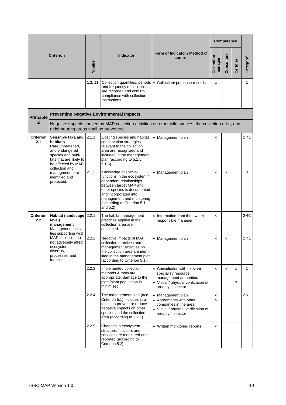|                                                |                                                                                                                                                                                                        |        |                                                                                                                                                                                                                                            |                                                                                                                                           |                       | Competence |           |                       |  |  |
|------------------------------------------------|--------------------------------------------------------------------------------------------------------------------------------------------------------------------------------------------------------|--------|--------------------------------------------------------------------------------------------------------------------------------------------------------------------------------------------------------------------------------------------|-------------------------------------------------------------------------------------------------------------------------------------------|-----------------------|------------|-----------|-----------------------|--|--|
|                                                | <b>Criterion</b>                                                                                                                                                                                       | Number | <b>Indicator</b>                                                                                                                                                                                                                           | Form of Indicator / Method of<br>control                                                                                                  | Collection<br>manager | Consultant | Certifier | Category <sup>6</sup> |  |  |
|                                                |                                                                                                                                                                                                        | 1.3.11 | and frequency of collection<br>are recorded and confirm<br>compliance with collection<br>instructions.                                                                                                                                     | Collection quantities, periods   . Collection/ purchase records                                                                           | x                     |            |           | $\mathbf{1}$          |  |  |
| <b>Principle</b>                               |                                                                                                                                                                                                        |        | <b>Preventing Negative Environmental Impacts</b>                                                                                                                                                                                           |                                                                                                                                           |                       |            |           |                       |  |  |
| $\mathbf{2}$                                   | Negative impacts caused by MAP collection activities on other wild species, the collection area, and<br>neighbouring areas shall be prevented.                                                         |        |                                                                                                                                                                                                                                            |                                                                                                                                           |                       |            |           |                       |  |  |
| Criterion<br>2.1<br>habitats<br>and endangered | Sensitive taxa and 2.1.1<br>Rare, threatened,<br>species and habi-<br>tats that are likely to<br>be affected by MAP<br>collection and                                                                  |        | Existing species and habitat<br>conservation strategies<br>relevant to the collection<br>area are recognized and<br>included in the management<br>plan (according to 5.1.5,<br>$5.1.6$ ).                                                  | • Management plan                                                                                                                         | x                     |            |           | $2\rightarrow 1$      |  |  |
|                                                | management are<br>identified and<br>protected.                                                                                                                                                         | 2.1.2  | Knowledge of special<br>functions in the ecosystem /<br>dependent relationships<br>between target MAP and<br>other species is documented<br>and incorporated into<br>management and monitoring<br>(according to Criterion 5.1<br>and 5.2). | • Management plan                                                                                                                         | X                     | x          |           | 3                     |  |  |
| <b>Criterion</b><br>2.2                        | Habitat (landscape 2.2.1<br>level)<br>management<br>Management activi-<br>ties supporting wild<br>MAP collection do<br>not adversely affect<br>ecosystem<br>diversity,<br>processes, and<br>functions. |        | The habitat management<br>practices applied in the<br>collection area are<br>described.                                                                                                                                                    | • Information from the owner/<br>responsible manager                                                                                      | x                     |            |           | $2 \rightarrow 1$     |  |  |
|                                                |                                                                                                                                                                                                        | 2.2.2  | Negative impacts of MAP<br>collection practices and<br>management activities on<br>the collection area are ident-<br>ified in the management plan<br>(according to Criterion 5.1).                                                         | • Management plan                                                                                                                         | x                     | x          |           | $2\rightarrow 1$      |  |  |
|                                                |                                                                                                                                                                                                        | 2.2.3  | Implemented collection<br>methods & tools are<br>appropriate: damage to the<br>plant/plant population is<br>minimised.                                                                                                                     | • Consultation with relevant<br>specialist/resource<br>management authorities<br>• Visual / physical verification of<br>area by inspector | x                     | x          | x<br>x    | $\mathbf{1}$          |  |  |
|                                                |                                                                                                                                                                                                        | 2.2.4  | The management plan (acc.<br>Criterion 5.1) includes stra-<br>tegies to prevent or reduce<br>negative impacts on other<br>species and the collection<br>area (according to 2.2.1).                                                         | • Management plan<br>• Agreements with other<br>companies in the area<br>• Visual / physical verification of<br>area by inspector         | x<br>x                |            |           | $2\rightarrow 1$      |  |  |
|                                                |                                                                                                                                                                                                        | 2.2.5  | Changes in ecosystem<br>structure, function, and<br>services are monitored and<br>reported (according to<br>Criterion 5.2).                                                                                                                | • Written monitoring reports                                                                                                              | x                     |            |           | $\mathbf{1}$          |  |  |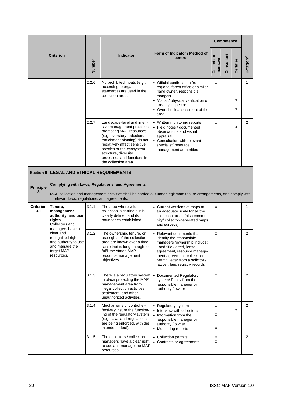|                          |                                                                                                                                                                                        |       |                                                                                                                                                                                                                                                                                          |                                                                                                                                                                                                                                                      |                       | <b>Competence</b> |           |                       |
|--------------------------|----------------------------------------------------------------------------------------------------------------------------------------------------------------------------------------|-------|------------------------------------------------------------------------------------------------------------------------------------------------------------------------------------------------------------------------------------------------------------------------------------------|------------------------------------------------------------------------------------------------------------------------------------------------------------------------------------------------------------------------------------------------------|-----------------------|-------------------|-----------|-----------------------|
|                          | <b>Criterion</b>                                                                                                                                                                       |       | <b>Indicator</b>                                                                                                                                                                                                                                                                         | Form of Indicator / Method of<br>control                                                                                                                                                                                                             | Collection<br>manager | Consultant        | Certifier | Category <sup>6</sup> |
|                          |                                                                                                                                                                                        | 2.2.6 | No prohibited inputs (e.g.,<br>according to organic<br>standards) are used in the<br>collection area.                                                                                                                                                                                    | • Official confirmation from<br>regional forest office or similar<br>(land owner, responsible<br>manger)<br>• Visual / physical verification of<br>area by inspector<br>• Overall risk assessment of the<br>area                                     | x                     |                   | x<br>X    | 1                     |
|                          |                                                                                                                                                                                        | 2.2.7 | Landscape-level and inten-<br>sive management practices<br>promoting MAP resources<br>(e.g. overstory reduction,<br>enrichment planting) do not<br>negatively affect sensitive<br>species or the ecosystem<br>structure, diversity<br>processes and functions in<br>the collection area. | • Written monitoring reports<br>• Field notes / documented<br>observations and visual<br>appraisal<br>• Consultation with relevant<br>specialist/resource<br>management authorities                                                                  | x                     |                   | x         | $\overline{2}$        |
| <b>Section II</b>        | <b>LEGAL AND ETHICAL REQUIREMENTS</b>                                                                                                                                                  |       |                                                                                                                                                                                                                                                                                          |                                                                                                                                                                                                                                                      |                       |                   |           |                       |
| <b>Principle</b>         | <b>Complying with Laws, Regulations, and Agreements</b>                                                                                                                                |       |                                                                                                                                                                                                                                                                                          |                                                                                                                                                                                                                                                      |                       |                   |           |                       |
| 3                        | MAP collection and management activities shall be carried out under legitimate tenure arrangements, and comply with<br>relevant laws, regulations, and agreements.                     |       |                                                                                                                                                                                                                                                                                          |                                                                                                                                                                                                                                                      |                       |                   |           |                       |
| Criterion Tenure,<br>3.1 | management<br>authority, and use<br>riahts<br>Collectors and<br>managers have a<br>clear and<br>recognized right<br>and authority to use<br>and manage the<br>target MAP<br>resources. | 3.1.1 | The area where wild<br>collection is carried out is<br>clearly defined and its<br>boundaries established.                                                                                                                                                                                | • Current versions of maps at<br>an adequate scale for all the<br>collection areas (also commu-<br>nity/ collector-generated maps<br>and surveys)                                                                                                    | х                     |                   |           | 1                     |
|                          |                                                                                                                                                                                        | 3.1.2 | The ownership, tenure, or<br>use rights of the collection<br>area are known over a time-<br>scale that is long enough to<br>fulfil the stated MAP<br>resource management<br>objectives.                                                                                                  | • Relevant documents that<br>identify the responsible<br>managers /ownership include:<br>Land title / deed, lease<br>agreement, resource manage-<br>ment agreement, collection<br>permit, letter from a solicitor /<br>lawyer, land registry records | x                     |                   |           | 2                     |
|                          |                                                                                                                                                                                        | 3.1.3 | There is a regulatory system<br>in place protecting the MAP<br>management area from<br>illegal collection activities.<br>settlement, and other<br>unauthorized activities.                                                                                                               | • Documented Regulatory<br>system/ Policy from the<br>responsible manager or<br>authority / owner                                                                                                                                                    | x                     |                   |           | $\overline{2}$        |
|                          |                                                                                                                                                                                        | 3.1.4 | Mechanisms of control ef-<br>fectively insure the function-<br>ing of the regulatory system<br>(e.g., laws and regulations<br>are being enforced, with the<br>intended effect).                                                                                                          | • Regulatory system<br>• Interview with collectors<br>• Information from the<br>responsible manager or<br>authority / owner<br>• Monitoring reports                                                                                                  | х<br>х<br>х           |                   | x         | $\overline{2}$        |
|                          |                                                                                                                                                                                        | 3.1.5 | The collectors / collection<br>managers have a clear right<br>to use and manage the MAP<br>resources.                                                                                                                                                                                    | • Collection permits<br>• Contracts or agreements                                                                                                                                                                                                    | х<br>x                |                   |           | $\overline{2}$        |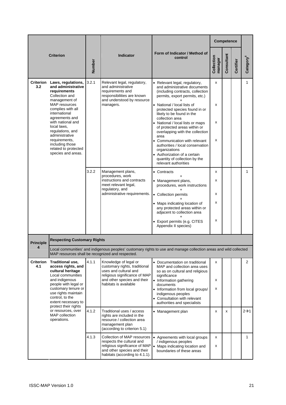|                         |                                                                                                                                                                                                                                                                                                                                            |        |                                                                                                                                                                          |                                                                                                                                                                                                                                                                                                                                                                                                                                                                                                                                                   |                       | Competence |           |                  |
|-------------------------|--------------------------------------------------------------------------------------------------------------------------------------------------------------------------------------------------------------------------------------------------------------------------------------------------------------------------------------------|--------|--------------------------------------------------------------------------------------------------------------------------------------------------------------------------|---------------------------------------------------------------------------------------------------------------------------------------------------------------------------------------------------------------------------------------------------------------------------------------------------------------------------------------------------------------------------------------------------------------------------------------------------------------------------------------------------------------------------------------------------|-----------------------|------------|-----------|------------------|
|                         | <b>Criterion</b>                                                                                                                                                                                                                                                                                                                           | Number | <b>Indicator</b>                                                                                                                                                         | Form of Indicator / Method of<br>control                                                                                                                                                                                                                                                                                                                                                                                                                                                                                                          | Collection<br>manager | Consultant | Certifier | Category         |
| 3.2                     | Criterion Laws, regulations,<br>and administrative<br>requirements<br>Collection and<br>management of<br>MAP resources<br>complies with all<br>international<br>agreements and<br>with national and<br>local laws,<br>regulations, and<br>administrative<br>requirements,<br>including those<br>related to protected<br>species and areas. | 3.2.1  | Relevant legal, regulatory,<br>and administrative<br>requirements and<br>responsibilities are known<br>and understood by resource<br>managers.                           | • Relevant legal, regulatory,<br>and administrative documents<br>(including contracts, collection<br>permits, export permits, etc.)<br>• National / local lists of<br>protected species found in or<br>likely to be found in the<br>collection area<br>• National / local lists or maps<br>of protected areas within or<br>overlapping with the collection<br>area<br>• Communication with relevant<br>authorities / local conservation<br>organizations<br>• Authorization of a certain<br>quantity of collection by the<br>relevant authorities | X<br>X<br>х<br>х      |            |           | 1                |
|                         |                                                                                                                                                                                                                                                                                                                                            | 3.2.2  | Management plans,<br>procedures, work<br>instructions and contracts<br>meet relevant legal,<br>regulatory, and<br>administrative requirements.                           | • Contracts<br>• Management plans,<br>procedures, work instructions<br>• Collection permits<br>• Maps indicating location of<br>any protected areas within or<br>adjacent to collection area<br>• Export permits (e.g. CITES<br>Appendix II species)                                                                                                                                                                                                                                                                                              | x<br>х<br>х<br>x<br>х |            |           | $\mathbf{1}$     |
| <b>Principle</b>        | <b>Respecting Customary Rights</b>                                                                                                                                                                                                                                                                                                         |        |                                                                                                                                                                          |                                                                                                                                                                                                                                                                                                                                                                                                                                                                                                                                                   |                       |            |           |                  |
| 4                       |                                                                                                                                                                                                                                                                                                                                            |        | MAP resources shall be recognized and respected.                                                                                                                         | Local communities' and indigenous peoples' customary rights to use and manage collection areas and wild collected                                                                                                                                                                                                                                                                                                                                                                                                                                 |                       |            |           |                  |
| <b>Criterion</b><br>4.1 | Traditional use,<br>access rights, and<br>cultural heritage<br>Local communities<br>and indigenous<br>people with legal or<br>customary tenure or<br>use rights maintain<br>control, to the<br>extent necessary to                                                                                                                         | 4.1.1  | Knowledge of legal or<br>customary rights, traditional<br>uses and cultural and<br>religious significance of MAP<br>and other species and their<br>habitats is available | • Documentation on traditional<br>MAP and collection area uses<br>so as on cultural and religious<br>significance<br>• Information gathering<br>documents<br>• Information from local groups/<br>indigenous peoples<br>• Consultation with relevant<br>authorities and specialists                                                                                                                                                                                                                                                                | x<br>х<br>х           |            |           | 2                |
|                         | protect their rights<br>or resources, over<br>MAP collection<br>operations.                                                                                                                                                                                                                                                                | 4.1.2  | Traditional uses / access<br>rights are included in the<br>resource / collection area<br>management plan<br>(according to criterion 5.1)                                 | • Management plan                                                                                                                                                                                                                                                                                                                                                                                                                                                                                                                                 | x                     | x          |           | $2\rightarrow 1$ |
|                         |                                                                                                                                                                                                                                                                                                                                            | 4.1.3  | Collection of MAP resources<br>respects the cultural and<br>religious significance of MAP<br>and other species and their<br>habitats (according to 4.1.1).               | • Agreements with local groups<br>/ indigenous peoples<br>• Maps indicating location and<br>boundaries of these areas                                                                                                                                                                                                                                                                                                                                                                                                                             | х<br>x                |            |           | $\mathbf{1}$     |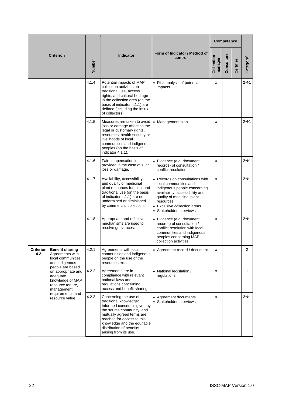|     |                                                                                                          |        |                                                                                                                                                                                                                                                             |                                                                                                                                                                                                                                    | Competence            |            |           |                  |
|-----|----------------------------------------------------------------------------------------------------------|--------|-------------------------------------------------------------------------------------------------------------------------------------------------------------------------------------------------------------------------------------------------------------|------------------------------------------------------------------------------------------------------------------------------------------------------------------------------------------------------------------------------------|-----------------------|------------|-----------|------------------|
|     | <b>Criterion</b>                                                                                         | Number | <b>Indicator</b>                                                                                                                                                                                                                                            | Form of Indicator / Method of<br>control                                                                                                                                                                                           | Collection<br>manager | Consultant | Certifier | Category         |
|     |                                                                                                          | 4.1.4  | Potential impacts of MAP<br>collection activities on<br>traditional use, access<br>rights, and cultural heritage<br>in the collection area (on the<br>basis of indicator 4.1.1) are<br>defined (including the influx<br>of collectors).                     | • Risk analysis of potential<br>impacts                                                                                                                                                                                            | X                     |            |           | $2\rightarrow 1$ |
|     |                                                                                                          | 4.1.5  | Measures are taken to avoid<br>loss or damage affecting the<br>legal or customary rights,<br>resources, health security or<br>livelihoods of local<br>communities and indigenous<br>peoples (on the basis of<br>indicator 4.1.1).                           | • Management plan                                                                                                                                                                                                                  | X                     |            |           | $2\rightarrow 1$ |
|     |                                                                                                          | 4.1.6  | Fair compensation is<br>provided in the case of such<br>loss or damage.                                                                                                                                                                                     | • Evidence (e.g. document<br>records) of consultation /<br>conflict resolution                                                                                                                                                     | х                     |            |           | $2\rightarrow 1$ |
|     |                                                                                                          | 4.1.7  | Availability, accessibility,<br>and quality of medicinal<br>plant resources for local and<br>traditional use (on the basis<br>of indicator 4.1.1) are not<br>undermined or diminished<br>by commercial collection.                                          | • Records on consultations with<br>local communities and<br>indigenous people concerning<br>availability, accessibility and<br>quality of medicinal plant<br>resources<br>• Exclusive collection areas<br>• Stakeholder interviews | X                     |            |           | $2\rightarrow 1$ |
|     |                                                                                                          | 4.1.8  | Appropriate and effective<br>mechanisms are used to<br>resolve grievances.                                                                                                                                                                                  | • Evidence (e.g. document<br>records) of consultation /<br>conflict resolution with local<br>communities and indigenous<br>peoples concerning MAP<br>collection activities                                                         | х                     |            |           | $2\rightarrow 1$ |
| 4.2 | <b>Criterion Benefit sharing</b><br>Agreements with<br>local communities<br>and indigenous               | 4.2.1  | Agreements with local<br>communities and indigenous<br>people on the use of the<br>resources exist.                                                                                                                                                         | • Agreement record / document                                                                                                                                                                                                      |                       |            |           | 2                |
|     | people are based<br>on appropriate and<br>adequate<br>knowledge of MAP<br>resource tenure,<br>management | 4.2.2  | Agreements are in<br>compliance with relevant<br>national laws and<br>regulations concerning<br>access and benefit sharing.                                                                                                                                 | • National legislation /<br>regulations                                                                                                                                                                                            | х                     |            |           | 1                |
|     | requirements, and<br>resource value.                                                                     | 4.2.3  | Concerning the use of<br>traditional knowledge:<br>Informed consent is given by<br>the source community, and<br>mutually agreed terms are<br>reached for access to this<br>knowledge and the equitable<br>distribution of benefits<br>arising from its use. | • Agreement documents<br>• Stakeholder interviews                                                                                                                                                                                  | х                     |            |           | $2\rightarrow 1$ |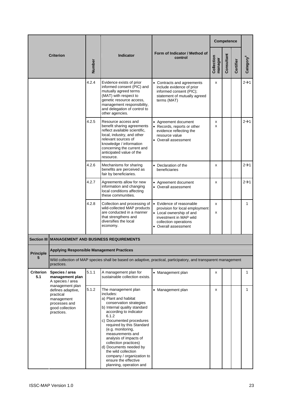|                         |                                                                                                                   |        |                                                                                                                                                                                                                                                                                                                                                                                                                                              |                                                                                                                                                                   |                       | <b>Competence</b> |           |                  |
|-------------------------|-------------------------------------------------------------------------------------------------------------------|--------|----------------------------------------------------------------------------------------------------------------------------------------------------------------------------------------------------------------------------------------------------------------------------------------------------------------------------------------------------------------------------------------------------------------------------------------------|-------------------------------------------------------------------------------------------------------------------------------------------------------------------|-----------------------|-------------------|-----------|------------------|
|                         | <b>Criterion</b>                                                                                                  | Number | <b>Indicator</b>                                                                                                                                                                                                                                                                                                                                                                                                                             | Form of Indicator / Method of<br>control                                                                                                                          | Collection<br>manager | Consultant        | Certifier | Category°        |
|                         |                                                                                                                   | 4.2.4  | Evidence exists of prior<br>informed consent (PIC) and<br>mutually agreed terms<br>(MAT) with respect to<br>genetic resource access,<br>management responsibility,<br>and delegation of control to<br>other agencies.                                                                                                                                                                                                                        | • Contracts and agreements<br>include evidence of prior<br>informed consent (PIC);<br>statement of mutually agreed<br>terms (MAT)                                 | х                     |                   |           | $2\rightarrow 1$ |
|                         |                                                                                                                   | 4.2.5  | Resource access and<br>benefit sharing agreements<br>reflect available scientific,<br>local, industry, and other<br>relevant sources of<br>knowledge / information<br>concerning the current and<br>anticipated value of the<br>resource.                                                                                                                                                                                                    | • Agreement document<br>• Records, reports or other<br>evidence reflecting the<br>resource value<br>• Overall assessment                                          | х<br>X                |                   |           | $2\rightarrow 1$ |
|                         |                                                                                                                   | 4.2.6  | Mechanisms for sharing<br>benefits are perceived as<br>fair by beneficiaries.                                                                                                                                                                                                                                                                                                                                                                | • Declaration of the<br>beneficiaries                                                                                                                             | х                     |                   |           | $2\rightarrow 1$ |
|                         |                                                                                                                   | 4.2.7  | Agreements allow for new<br>information and changing<br>local conditions affecting<br>these communities.                                                                                                                                                                                                                                                                                                                                     | • Agreement document<br>• Overall assessment                                                                                                                      | х                     |                   |           | $2\rightarrow 1$ |
|                         |                                                                                                                   | 4.2.8  | Collection and processing of<br>wild-collected MAP products<br>are conducted in a manner<br>that strengthens and<br>diversifies the local<br>economy.                                                                                                                                                                                                                                                                                        | • Evidence of reasonable<br>provision for local employment<br>• Local ownership of and<br>investment in MAP wild<br>collection operations<br>• Overall assessment | x<br>X                |                   |           | $\mathbf{1}$     |
|                         |                                                                                                                   |        | Section III MANAGEMENT AND BUSINESS REQUIREMENTS                                                                                                                                                                                                                                                                                                                                                                                             |                                                                                                                                                                   |                       |                   |           |                  |
| <b>Principle</b><br>5   | <b>Applying Responsible Management Practices</b>                                                                  |        |                                                                                                                                                                                                                                                                                                                                                                                                                                              |                                                                                                                                                                   |                       |                   |           |                  |
|                         | practices.                                                                                                        |        |                                                                                                                                                                                                                                                                                                                                                                                                                                              | Wild collection of MAP species shall be based on adaptive, practical, participatory, and transparent management                                                   |                       |                   |           |                  |
| <b>Criterion</b><br>5.1 | Species / area<br>management plan<br>A species / area                                                             | 5.1.1  | A management plan for<br>sustainable collection exists.                                                                                                                                                                                                                                                                                                                                                                                      | • Management plan                                                                                                                                                 | х                     |                   |           | 1                |
|                         | management plan<br>defines adaptive,<br>practical<br>management<br>processes and<br>good collection<br>practices. | 5.1.2  | The management plan<br>includes:<br>a) Plant and habitat<br>conservation strategies<br>b) Internal quality standard<br>according to indicator<br>6.1.2<br>c) Documented procedures<br>required by this Standard<br>(e.g. monitoring,<br>measurements and<br>analysis of impacts of<br>collection practices)<br>d) Documents needed by<br>the wild collection<br>company / organization to<br>ensure the effective<br>planning, operation and | • Management plan                                                                                                                                                 | x                     |                   |           | 1                |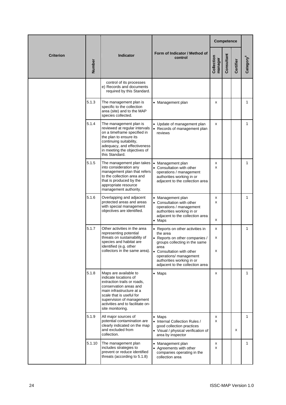|                  |        |                                                                                                                                                                                                                                                      |                                                                                                                                                                                                           |                       | Competence |           |                       |
|------------------|--------|------------------------------------------------------------------------------------------------------------------------------------------------------------------------------------------------------------------------------------------------------|-----------------------------------------------------------------------------------------------------------------------------------------------------------------------------------------------------------|-----------------------|------------|-----------|-----------------------|
| <b>Criterion</b> | Number | Indicator                                                                                                                                                                                                                                            | Form of Indicator / Method of<br>control                                                                                                                                                                  | Collection<br>manager | Consultant | Certifier | Category <sup>6</sup> |
|                  |        | control of its processes<br>e) Records and documents<br>required by this Standard.                                                                                                                                                                   |                                                                                                                                                                                                           |                       |            |           |                       |
|                  | 5.1.3  | The management plan is<br>specific to the collection<br>area (site) and to the MAP<br>species collected.                                                                                                                                             | • Management plan                                                                                                                                                                                         | x                     |            |           | 1                     |
|                  | 5.1.4  | The management plan is<br>reviewed at regular intervals<br>on a timeframe specified in<br>the plan to ensure its<br>continuing suitability,<br>adequacy, and effectiveness<br>in meeting the objectives of<br>this Standard.                         | • Update of management plan<br>Records of management plan<br>reviews                                                                                                                                      | x                     |            |           | 1                     |
|                  | 5.1.5  | The management plan takes<br>into consideration any<br>management plan that refers<br>to the collection area and<br>that is produced by the<br>appropriate resource<br>management authority.                                                         | Management plan<br>$\bullet$<br>• Consultation with other<br>operations / management<br>authorities working in or<br>adjacent to the collection area                                                      | x<br>x                |            |           | $\mathbf{1}$          |
|                  | 5.1.6  | Overlapping and adjacent<br>protected areas and areas<br>with special management<br>objectives are identified.                                                                                                                                       | • Management plan<br>• Consultation with other<br>operations / management<br>authorities working in or<br>adjacent to the collection area<br>$\bullet$ Maps                                               | x<br>X<br>x           |            |           | $\mathbf{1}$          |
|                  | 5.1.7  | Other activities in the area<br>representing potential<br>threats on sustainability of<br>species and habitat are<br>identified (e.g. other<br>collectors in the same area). $\bullet$                                                               | • Reports on other activities in<br>the area<br>• Reports on other companies /<br>groups collecting in the same<br>area<br>Consultation with other<br>operations/ management<br>authorities working in or | x<br>Χ<br>х           |            |           | 1                     |
|                  | 5.1.8  | Maps are available to<br>indicate locations of<br>extraction trails or roads.<br>conservation areas and<br>main infrastructure at a<br>scale that is useful for<br>supervision of management<br>activities and to facilitate on-<br>site monitoring. | adjacent to the collection area<br>$\bullet$ Maps                                                                                                                                                         | x                     |            |           | $\mathbf{1}$          |
|                  | 5.1.9  | All major sources of<br>potential contamination are<br>clearly indicated on the map<br>and excluded from<br>collection.                                                                                                                              | • Maps<br>• Internal Collection Rules /<br>good collection practices<br>• Visual / physical verification of<br>area by inspector                                                                          | x<br>X                |            | x         | 1                     |
|                  | 5.1.10 | The management plan<br>includes strategies to<br>prevent or reduce identified<br>threats (according to 5.1.8)                                                                                                                                        | Management plan<br>Agreements with other<br>companies operating in the<br>collection area                                                                                                                 | x<br>x                |            |           | 1                     |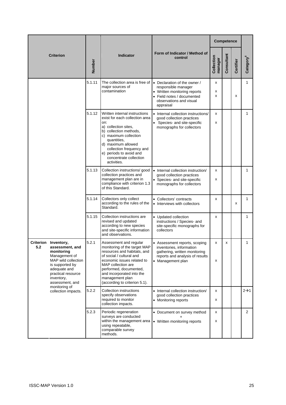|     |                                                                                                                                                                                         |        |                                                                                                                                                                                                                                                                                        |                                                                                                                                                           |                       | Competence |           |                  |
|-----|-----------------------------------------------------------------------------------------------------------------------------------------------------------------------------------------|--------|----------------------------------------------------------------------------------------------------------------------------------------------------------------------------------------------------------------------------------------------------------------------------------------|-----------------------------------------------------------------------------------------------------------------------------------------------------------|-----------------------|------------|-----------|------------------|
|     | <b>Criterion</b>                                                                                                                                                                        | Number | <b>Indicator</b>                                                                                                                                                                                                                                                                       | Form of Indicator / Method of<br>control                                                                                                                  | Collection<br>manager | Consultant | Certifier | Category°        |
|     |                                                                                                                                                                                         | 5.1.11 | The collection area is free of<br>major sources of<br>contamination                                                                                                                                                                                                                    | • Declaration of the owner /<br>responsible manager<br>• Written monitoring reports<br>• Field notes / documented<br>observations and visual<br>appraisal | x<br>х<br>x           |            | x         | 1                |
|     |                                                                                                                                                                                         | 5.1.12 | Written internal instructions<br>exist for each collection area<br>on:<br>a) collection sites,<br>b) collection methods,<br>c) maximum collection<br>quantities,<br>d) maximum allowed<br>collection frequency and<br>e) periods to avoid and<br>concentrate collection<br>activities. | • Internal collection instructions/<br>good collection practices<br>Species- and site-specific<br>monographs for collectors                               | x<br>x                |            |           | 1                |
|     |                                                                                                                                                                                         | 5.1.13 | Collection instructions/ good<br>collection practices and<br>management plan are in<br>compliance with criterion 1.3<br>of this Standard.                                                                                                                                              | • Internal collection instruction/<br>good collection practices<br>• Species- and site-specific<br>monographs for collectors                              | x<br>x                |            |           | $\mathbf{1}$     |
|     |                                                                                                                                                                                         | 5.1.14 | Collectors only collect<br>according to the rules of the<br>Standard.                                                                                                                                                                                                                  | • Collectors' contracts<br>• Interviews with collectors                                                                                                   | x                     |            | x         | $\mathbf{1}$     |
|     |                                                                                                                                                                                         | 5.1.15 | Collection instructions are<br>revised and updated<br>according to new species<br>and site-specific information<br>and observations.                                                                                                                                                   | • Updated collection<br>instructions / Species- and<br>site-specific monographs for<br>collectors                                                         | x                     |            |           | 1                |
| 5.2 | Criterion Inventory,<br>assessment, and<br>monitoring<br>Management of<br>MAP wild collection<br>is supported by<br>adequate and<br>practical resource<br>inventory,<br>assessment, and | 5.2.1  | Assessment and regular<br>monitoring of the target MAP<br>resources and habitats, and<br>of social / cultural and<br>economic issues related to<br>MAP collection are<br>performed, documented,<br>and incorporated into the<br>management plan<br>(according to criterion 5.1).       | • Assessment reports, scoping<br>inventories, information<br>gathering, written monitoring<br>reports and analysis of results<br>• Management plan        | x<br>x                | x          |           | 1                |
|     | monitoring of<br>collection impacts.                                                                                                                                                    | 5.2.2  | Collection instructions<br>specify observations<br>required to monitor<br>collection impacts.                                                                                                                                                                                          | • Internal collection instruction/<br>good collection practices<br>• Monitoring reports                                                                   | x<br>x                |            |           | $2\rightarrow 1$ |
|     |                                                                                                                                                                                         | 5.2.3  | Periodic regeneration<br>surveys are conducted<br>within the management area<br>using repeatable,<br>comparable survey<br>methods.                                                                                                                                                     | • Document on survey method<br>• Written monitoring reports                                                                                               | x<br>x                |            |           | $\overline{2}$   |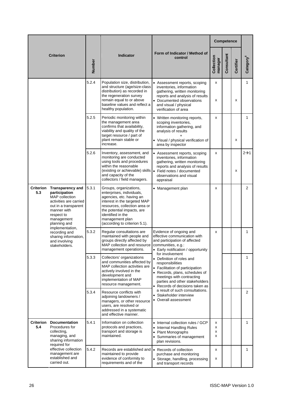| <b>Criterion</b>                                                                                                                                                                                          |                                                                                                               |                                                                                                                                                                                           |                                                                                                                                                                                                                                                         |                                                                                                                                                                                                             |                       | Competence |              |                       |
|-----------------------------------------------------------------------------------------------------------------------------------------------------------------------------------------------------------|---------------------------------------------------------------------------------------------------------------|-------------------------------------------------------------------------------------------------------------------------------------------------------------------------------------------|---------------------------------------------------------------------------------------------------------------------------------------------------------------------------------------------------------------------------------------------------------|-------------------------------------------------------------------------------------------------------------------------------------------------------------------------------------------------------------|-----------------------|------------|--------------|-----------------------|
|                                                                                                                                                                                                           |                                                                                                               | Number                                                                                                                                                                                    | <b>Indicator</b>                                                                                                                                                                                                                                        | Form of Indicator / Method of<br>control                                                                                                                                                                    | Collection<br>manager | Consultant | Certifier    | Category <sup>6</sup> |
|                                                                                                                                                                                                           |                                                                                                               | 5.2.4                                                                                                                                                                                     | Population size, distribution,<br>and structure (age/size-class<br>distribution) as recorded in<br>the regeneration survey<br>remain equal to or above<br>baseline values and reflect a<br>healthy population.                                          | • Assessment reports, scoping<br>inventories, information<br>gathering, written monitoring<br>reports and analysis of results<br>• Documented observations<br>and visual / physical<br>verification of area | x<br>x                |            | x            | $\mathbf{1}$          |
|                                                                                                                                                                                                           |                                                                                                               | 5.2.5                                                                                                                                                                                     | Periodic monitoring within<br>the management area<br>confirms that availability,<br>viability and quality of the<br>target resource / part of<br>plant remain stable or<br>increase.                                                                    | Written monitoring reports,<br>scoping inventories,<br>information gathering, and<br>analysis of results<br>• Visual / physical verification of<br>area by inspector                                        | x                     |            | x            | 1                     |
|                                                                                                                                                                                                           |                                                                                                               | 5.2.6                                                                                                                                                                                     | Inventory, assessment, and<br>monitoring are conducted<br>using tools and procedures<br>within the reasonable<br>(existing or achievable) skills • Field notes / documented<br>and capacity of the<br>collectors / field managers.                      | Assessment reports, scoping<br>inventories, information<br>gathering, written monitoring<br>reports and analysis of results<br>observations and visual<br>appraisal                                         | x                     |            | x            | $2\rightarrow 1$      |
| <b>Criterion</b><br><b>Transparency and</b><br>5.3<br>participation<br><b>MAP</b> collection<br>activities are carried<br>out in a transparent<br>manner with<br>respect to<br>management<br>planning and |                                                                                                               | 5.3.1                                                                                                                                                                                     | Groups, organizations,<br>enterprises, individuals,<br>agencies, etc. having an<br>interest in the targeted MAP<br>resources, collection area or<br>the potential impacts, are<br>identified in the<br>management plan<br>(according to criterion 5.1). | • Management plan                                                                                                                                                                                           | x                     |            |              | $\overline{2}$        |
| implementation,<br>recording and<br>sharing information,<br>and involving<br>stakeholders.                                                                                                                | 5.3.2                                                                                                         | Regular consultations are<br>maintained with people and<br>groups directly affected by<br>MAP collection and resource<br>management operations.                                           | Evidence of ongoing and<br>effective communication with<br>and participation of affected<br>communities, e.g.:<br>Early notification / opportunity                                                                                                      | x                                                                                                                                                                                                           |                       |            | 1            |                       |
|                                                                                                                                                                                                           | 5.3.3                                                                                                         | Collectors' organizations<br>and communities affected by<br>MAP collection activities are<br>actively involved in the<br>development and<br>implementation of MAP<br>resource management. | for involvement<br>• Definition of roles and<br>responsibilities<br>• Facilitation of participation<br>• Records, plans, schedules of<br>meetings with contracting<br>parties and other stakeholders<br>• Records of decisions taken as                 |                                                                                                                                                                                                             |                       |            | $\mathbf{1}$ |                       |
|                                                                                                                                                                                                           |                                                                                                               | 5.3.4                                                                                                                                                                                     | Resource conflicts with<br>adjoining landowners /<br>managers, or other resource<br>users, are resolved or<br>addressed in a systematic<br>and effective manner.                                                                                        | a result of such consultations.<br>Stakeholder interview<br>• Overall assessment                                                                                                                            |                       |            |              | $\overline{2}$        |
| <b>Criterion</b><br>5.4                                                                                                                                                                                   | <b>Documentation</b><br>Procedures for<br>collecting,<br>managing, and<br>sharing information<br>required for | 5.4.1                                                                                                                                                                                     | Information on collection<br>protocols and practices,<br>transport and storage is<br>maintained.                                                                                                                                                        | • Internal collection rules / GCP<br><b>Internal Handling Rules</b><br><b>Plant Monographs</b><br>$\bullet$<br>• Summaries of management<br>plan revisions.                                                 | x<br>X<br>X<br>x      |            |              | 1                     |
|                                                                                                                                                                                                           | effective collection<br>management are<br>established and<br>carried out.                                     | 5.4.2                                                                                                                                                                                     | Records are established and<br>maintained to provide<br>evidence of conformity to<br>requirements and of the                                                                                                                                            | • Records of collection<br>purchase and monitoring<br>• Storage, handling, processing<br>and transport records                                                                                              | x<br>x                |            |              | 1                     |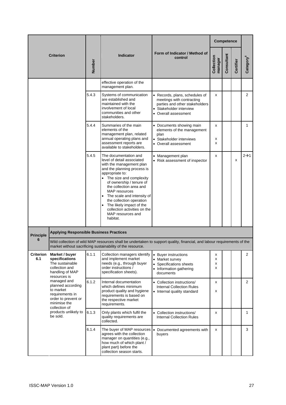| <b>Criterion</b> |                                                                                                          |        |                                                                                                                                                                                                                                                                                                                                                                                                    |                                                                                                                                                | Competence            |            |           |                       |
|------------------|----------------------------------------------------------------------------------------------------------|--------|----------------------------------------------------------------------------------------------------------------------------------------------------------------------------------------------------------------------------------------------------------------------------------------------------------------------------------------------------------------------------------------------------|------------------------------------------------------------------------------------------------------------------------------------------------|-----------------------|------------|-----------|-----------------------|
|                  |                                                                                                          | Number | Indicator                                                                                                                                                                                                                                                                                                                                                                                          | Form of Indicator / Method of<br>control                                                                                                       | Collection<br>manager | Consultant | Certifier | Category <sup>6</sup> |
|                  |                                                                                                          |        | effective operation of the<br>management plan.                                                                                                                                                                                                                                                                                                                                                     |                                                                                                                                                |                       |            |           |                       |
|                  |                                                                                                          | 5.4.3  | Systems of communication<br>are established and<br>maintained with the<br>involvement of local<br>communities and other<br>stakeholders.                                                                                                                                                                                                                                                           | • Records, plans, schedules of<br>meetings with contracting<br>parties and other stakeholders<br>Stakeholder interview<br>• Overall assessment | x                     |            |           | $\overline{2}$        |
|                  |                                                                                                          | 5.4.4  | Summaries of the main<br>elements of the<br>management plan, related<br>annual operating plans and                                                                                                                                                                                                                                                                                                 | • Documents showing main<br>elements of the management<br>plan<br>Stakeholder interviews                                                       | x<br>х                |            |           | $\mathbf{1}$          |
|                  |                                                                                                          |        | assessment reports are<br>available to stakeholders.                                                                                                                                                                                                                                                                                                                                               | • Overall assessment                                                                                                                           | x                     |            |           |                       |
|                  |                                                                                                          | 5.4.5  | The documentation and<br>level of detail associated<br>with the management plan<br>and the planning process is<br>appropriate to:<br>The size and complexity<br>of ownership / tenure of<br>the collection area and<br><b>MAP</b> resources<br>The scale and intensity of<br>the collection operation<br>The likely impact of the<br>collection activities on the<br>MAP resources and<br>habitat. | Management plan<br>• Risk assessment of inspector                                                                                              | x                     |            | x         | $2\rightarrow 1$      |
| <b>Principle</b> | <b>Applying Responsible Business Practices</b>                                                           |        |                                                                                                                                                                                                                                                                                                                                                                                                    |                                                                                                                                                |                       |            |           |                       |
| 6                |                                                                                                          |        | market without sacrificing sustainability of the resource.                                                                                                                                                                                                                                                                                                                                         | Wild collection of wild MAP resources shall be undertaken to support quality, financial, and labour requirements of the                        |                       |            |           |                       |
| Criterion<br>6.1 | Market / buyer<br>specifications<br>The sustainable<br>collection and<br>handling of MAP<br>resources is | 6.1.1  | Collection managers identify<br>and implement market<br>needs (e.g., through buyer<br>order instructions /<br>specification sheets).                                                                                                                                                                                                                                                               | • Buyer instructions<br>• Market survey<br>Specifications sheets<br>• Information gathering<br>documents                                       | х<br>x<br>Χ<br>x      |            |           | $\overline{2}$        |
|                  | managed and<br>planned according<br>to market<br>requirements in<br>order to prevent or<br>minimise the  | 6.1.2  | Internal documentation<br>which defines minimum<br>product quality and hygiene<br>requirements is based on<br>the respective market<br>requirements.                                                                                                                                                                                                                                               | • Collection instructions/<br><b>Internal Collection Rules</b><br>• Internal quality standard                                                  | x<br>x                |            |           | $\overline{2}$        |
|                  | collection of<br>products unlikely to<br>be sold.                                                        | 6.1.3  | Only plants which fulfil the<br>quality requirements are<br>collected.                                                                                                                                                                                                                                                                                                                             | • Collection instructions/<br><b>Internal Collection Rules</b>                                                                                 | x                     |            |           | $\mathbf{1}$          |
|                  |                                                                                                          | 6.1.4  | The buyer of MAP resources<br>agrees with the collection<br>manager on quantities (e.g.,<br>how much of which plant /<br>plant part) before the<br>collection season starts.                                                                                                                                                                                                                       | Documented agreements with<br>$\bullet$<br>buyers                                                                                              | x                     |            |           | 3                     |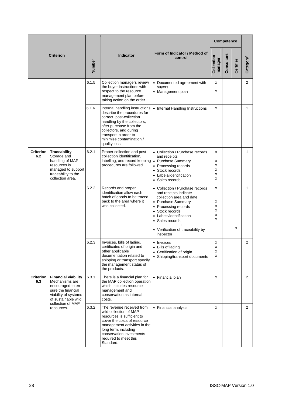|                  |                                                                                                                                                             |        |                                                                                                                                                                                                                                                    |                                                                                                                                                                                                                                                 | Competence                 |            |           |                       |
|------------------|-------------------------------------------------------------------------------------------------------------------------------------------------------------|--------|----------------------------------------------------------------------------------------------------------------------------------------------------------------------------------------------------------------------------------------------------|-------------------------------------------------------------------------------------------------------------------------------------------------------------------------------------------------------------------------------------------------|----------------------------|------------|-----------|-----------------------|
|                  | <b>Criterion</b>                                                                                                                                            | Number | <b>Indicator</b>                                                                                                                                                                                                                                   | Form of Indicator / Method of<br>control                                                                                                                                                                                                        | Collection<br>manager      | Consultant | Certifier | Category <sup>6</sup> |
|                  |                                                                                                                                                             | 6.1.5  | Collection managers review<br>the buyer instructions with<br>respect to the resource<br>management plan before<br>taking action on the order.                                                                                                      | • Documented agreement with<br>buyers<br>• Management plan                                                                                                                                                                                      | x<br>x                     |            |           | $\overline{2}$        |
|                  |                                                                                                                                                             | 6.1.6  | Internal handling instructions<br>describe the procedures for<br>correct post-collection<br>handling by the collectors,<br>after purchase from the<br>collectors, and during<br>transport in order to<br>minimise contamination /<br>quality loss. | • Internal Handling Instructions                                                                                                                                                                                                                | x                          |            |           | $\mathbf{1}$          |
| 6.2              | <b>Criterion Traceability</b><br>Storage and<br>handling of MAP<br>resources is<br>managed to support<br>traceability to the<br>collection area.            | 6.2.1  | Proper collection and post-<br>collection identification,<br>labelling, and record keeping • Purchase Summary<br>procedures are followed.                                                                                                          | • Collection / Purchase records<br>and receipts<br>• Processing records<br>• Stock records<br>Labels/identification<br>• Sales records                                                                                                          | x<br>х<br>X<br>x<br>x<br>x |            |           | 1                     |
|                  |                                                                                                                                                             | 6.2.2  | Records and proper<br>identification allow each<br>batch of goods to be traced<br>back to the area where it<br>was collected.                                                                                                                      | • Collection / Purchase records<br>and receipts indicate<br>collection area and date<br>• Purchase Summary<br>Processing records<br>Stock records<br>Labels/identification<br>• Sales records<br>• Verification of traceability by<br>inspector | x<br>х<br>Χ<br>x<br>X<br>X |            | x         | 1                     |
|                  |                                                                                                                                                             | 6.2.3  | Invoices, bills of lading,<br>certificates of origin and<br>other applicable<br>documentation related to<br>shipping or transport specify<br>the management status of<br>the products.                                                             | • Invoices<br>Bills of lading<br>$\bullet$<br>• Certification of origin<br>• Shipping/transport documents                                                                                                                                       | х<br>x<br>х<br>X           |            |           | $\overline{2}$        |
| Criterion<br>6.3 | <b>Financial viability</b><br>Mechanisms are<br>encouraged to en-<br>sure the financial<br>viability of systems<br>of sustainable wild<br>collection of MAP | 6.3.1  | There is a financial plan for<br>the MAP collection operation<br>which includes resource<br>management and<br>conservation as internal<br>costs.                                                                                                   | • Financial plan                                                                                                                                                                                                                                | x                          |            |           | 2                     |
|                  | resources.                                                                                                                                                  | 6.3.2  | The revenue received from<br>wild collection of MAP<br>resources is sufficient to<br>cover the costs of resource<br>management activities in the<br>long term, including<br>conservation investments<br>required to meet this<br>Standard.         | • Financial analysis                                                                                                                                                                                                                            | x                          |            |           | $\overline{2}$        |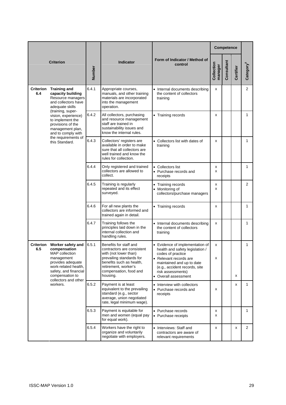| <b>Criterion</b>                                                                                                            |                                                                                                                                                                             |                                                                                                                                               |                                                                                                                                                                                                     |                                                                                                                                                                                                                              |                       | <b>Competence</b> |                |                |
|-----------------------------------------------------------------------------------------------------------------------------|-----------------------------------------------------------------------------------------------------------------------------------------------------------------------------|-----------------------------------------------------------------------------------------------------------------------------------------------|-----------------------------------------------------------------------------------------------------------------------------------------------------------------------------------------------------|------------------------------------------------------------------------------------------------------------------------------------------------------------------------------------------------------------------------------|-----------------------|-------------------|----------------|----------------|
|                                                                                                                             |                                                                                                                                                                             | Number                                                                                                                                        | <b>Indicator</b>                                                                                                                                                                                    | Form of Indicator / Method of<br>control                                                                                                                                                                                     | Collection<br>manager | Consultant        | Certifier      | Category       |
| Criterion<br><b>Training and</b><br>6.4<br>capacity building<br>Resource managers<br>and collectors have<br>adequate skills | 6.4.1                                                                                                                                                                       | Appropriate courses,<br>manuals, and other training<br>materials are incorporated<br>into the management<br>operation.                        | • Internal documents describing<br>the content of collectors<br>training                                                                                                                            | X                                                                                                                                                                                                                            |                       |                   | $\overline{2}$ |                |
|                                                                                                                             | (training, super-<br>vision, experience)<br>to implement the<br>provisions of the<br>management plan,<br>and to comply with                                                 | 6.4.2                                                                                                                                         | All collectors, purchasing<br>and resource management<br>staff are trained in<br>sustainability issues and<br>know the internal rules.                                                              | • Training records                                                                                                                                                                                                           | X                     |                   |                | 1              |
| the requirements of<br>this Standard.                                                                                       | 6.4.3                                                                                                                                                                       | Collectors' registers are<br>available in order to make<br>sure that all collectors are<br>well trained and know the<br>rules for collection. | • Collectors list with dates of<br>training                                                                                                                                                         | х                                                                                                                                                                                                                            |                       |                   | $\mathbf{1}$   |                |
|                                                                                                                             | 6.4.4                                                                                                                                                                       | Only registered and trained<br>collectors are allowed to<br>collect.                                                                          | • Collectors list<br>• Purchase records and<br>receipts                                                                                                                                             | х<br>x                                                                                                                                                                                                                       |                       |                   | 1              |                |
|                                                                                                                             | 6.4.5                                                                                                                                                                       | Training is regularly<br>repeated and its effect<br>surveyed.                                                                                 | • Training records<br>Monitoring of<br>collectors/purchase managers                                                                                                                                 | X<br>x                                                                                                                                                                                                                       |                       |                   | $\overline{2}$ |                |
|                                                                                                                             | 6.4.6                                                                                                                                                                       | For all new plants the<br>collectors are informed and<br>trained again in detail.                                                             | • Training records                                                                                                                                                                                  | х                                                                                                                                                                                                                            |                       |                   | 1              |                |
|                                                                                                                             |                                                                                                                                                                             | 6.4.7                                                                                                                                         | Training follows the<br>principles laid down in the<br>internal collection and<br>handling rules.                                                                                                   | • Internal documents describing<br>the content of collectors<br>training                                                                                                                                                     | х                     |                   |                | 1              |
| Criterion<br>6.5<br>management<br>workers.                                                                                  | Worker safety and<br>compensation<br><b>MAP</b> collection<br>provides adequate<br>work-related health.<br>safety, and financial<br>compensation to<br>collectors and other | 6.5.1                                                                                                                                         | Benefits for staff and<br>contractors are consistent<br>with (not lower than)<br>prevailing standards for<br>benefits such as health,<br>retirement, worker's<br>compensation, food and<br>housing. | • Evidence of implementation of<br>health and safety legislation /<br>codes of practice<br>• Relevant records are<br>maintained and up to date<br>(e.g., accident records, site<br>risk assessments)<br>• Overall assessment | x<br>х                |                   | x              | 1              |
|                                                                                                                             |                                                                                                                                                                             | 6.5.2                                                                                                                                         | Payment is at least<br>equivalent to the prevailing<br>standard (e.g., sector<br>average, union negotiated<br>rate, legal minimum wage).                                                            | • Interview with collectors<br>• Purchase records and<br>receipts                                                                                                                                                            | x                     |                   | x              | 1              |
|                                                                                                                             |                                                                                                                                                                             | 6.5.3                                                                                                                                         | Payment is equitable for<br>men and women (equal pay<br>for equal work).                                                                                                                            | • Purchase records<br>• Purchase receipts                                                                                                                                                                                    | x<br>X                |                   |                | $\mathbf{1}$   |
|                                                                                                                             |                                                                                                                                                                             | 6.5.4                                                                                                                                         | Workers have the right to<br>organize and voluntarily<br>negotiate with employers.                                                                                                                  | • Interviews: Staff and<br>contractors are aware of<br>relevant requirements                                                                                                                                                 | X                     |                   | x              | $\overline{2}$ |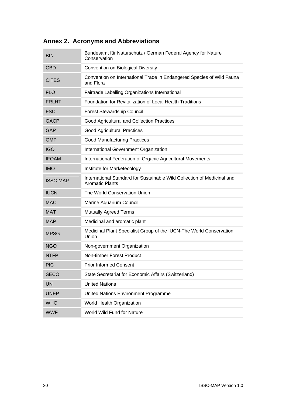| <b>BfN</b>      | Bundesamt für Naturschutz / German Federal Agency for Nature<br>Conservation                      |
|-----------------|---------------------------------------------------------------------------------------------------|
| <b>CBD</b>      | Convention on Biological Diversity                                                                |
| <b>CITES</b>    | Convention on International Trade in Endangered Species of Wild Fauna<br>and Flora                |
| <b>FLO</b>      | Fairtrade Labelling Organizations International                                                   |
| <b>FRLHT</b>    | Foundation for Revitalization of Local Health Traditions                                          |
| <b>FSC</b>      | <b>Forest Stewardship Council</b>                                                                 |
| <b>GACP</b>     | Good Agricultural and Collection Practices                                                        |
| <b>GAP</b>      | <b>Good Agricultural Practices</b>                                                                |
| <b>GMP</b>      | <b>Good Manufacturing Practices</b>                                                               |
| <b>IGO</b>      | International Government Organization                                                             |
| <b>IFOAM</b>    | International Federation of Organic Agricultural Movements                                        |
| <b>IMO</b>      | Institute for Marketecology                                                                       |
| <b>ISSC-MAP</b> | International Standard for Sustainable Wild Collection of Medicinal and<br><b>Aromatic Plants</b> |
| <b>IUCN</b>     | The World Conservation Union                                                                      |
| <b>MAC</b>      | Marine Aquarium Council                                                                           |
| <b>MAT</b>      | <b>Mutually Agreed Terms</b>                                                                      |
| <b>MAP</b>      | Medicinal and aromatic plant                                                                      |
| <b>MPSG</b>     | Medicinal Plant Specialist Group of the IUCN-The World Conservation<br>Union                      |
| <b>NGO</b>      | Non-government Organization                                                                       |
| <b>NTFP</b>     | Non-timber Forest Product                                                                         |
| PIC             | <b>Prior Informed Consent</b>                                                                     |
| <b>SECO</b>     | State Secretariat for Economic Affairs (Switzerland)                                              |
| <b>UN</b>       | <b>United Nations</b>                                                                             |
| <b>UNEP</b>     | United Nations Environment Programme                                                              |
| <b>WHO</b>      | World Health Organization                                                                         |
| <b>WWF</b>      | World Wild Fund for Nature                                                                        |

## **Annex 2. Acronyms and Abbreviations**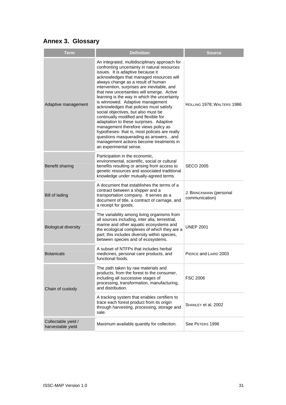## **Annex 3. Glossary**

| <b>Term</b>                              | <b>Definition</b>                                                                                                                                                                                                                                                                                                                                                                                                                                                                                                                                                                                                                                                                                                                                                                 | <b>Source</b>                             |
|------------------------------------------|-----------------------------------------------------------------------------------------------------------------------------------------------------------------------------------------------------------------------------------------------------------------------------------------------------------------------------------------------------------------------------------------------------------------------------------------------------------------------------------------------------------------------------------------------------------------------------------------------------------------------------------------------------------------------------------------------------------------------------------------------------------------------------------|-------------------------------------------|
| Adaptive management                      | An integrated, multidisciplinary approach for<br>confronting uncertainty in natural resources<br>issues. It is adaptive because it<br>acknowledges that managed resources will<br>always change as a result of human<br>intervention, surprises are inevitable, and<br>that new uncertainties will emerge. Active<br>learning is the way in which the uncertainty<br>is winnowed. Adaptive management<br>acknowledges that policies must satisfy<br>social objectives, but also must be<br>continually modified and flexible for<br>adaptation to these surprises. Adaptive<br>management therefore views policy as<br>hypotheses- that is, most policies are really<br>questions masquerading as answersand<br>management actions become treatments in<br>an experimental sense. | HOLLING 1978; WALTERS 1986                |
| Benefit sharing                          | Participation in the economic,<br>environmental, scientific, social or cultural<br>benefits resulting or arising from access to<br>genetic resources and associated traditional<br>knowledge under mutually-agreed terms.                                                                                                                                                                                                                                                                                                                                                                                                                                                                                                                                                         | SECO 2005                                 |
| <b>Bill of lading</b>                    | A document that establishes the terms of a<br>contract between a shipper and a<br>transportation company. It serves as a<br>document of title, a contract of carriage, and<br>a receipt for goods.                                                                                                                                                                                                                                                                                                                                                                                                                                                                                                                                                                                | J. BRINCKMANN (personal<br>communication) |
| <b>Biological diversity</b>              | The variability among living organisms from<br>all sources including, inter alia, terrestrial,<br>marine and other aquatic ecosystems and<br>the ecological complexes of which they are a<br>part; this includes diversity within species,<br>between species and of ecosystems.                                                                                                                                                                                                                                                                                                                                                                                                                                                                                                  | <b>UNEP 2001</b>                          |
| <b>Botanicals</b>                        | A subset of NTFPs that includes herbal<br>medicines, personal care products, and<br>functional foods.                                                                                                                                                                                                                                                                                                                                                                                                                                                                                                                                                                                                                                                                             | PIERCE and LAIRD 2003                     |
| Chain of custody                         | The path taken by raw materials and<br>products, from the forest to the consumer,<br>including all successive stages of<br>processing, transformation, manufacturing,<br>and distribution.                                                                                                                                                                                                                                                                                                                                                                                                                                                                                                                                                                                        | <b>FSC 2006</b>                           |
|                                          | A tracking system that enables certifiers to<br>trace each forest product from its origin<br>through harvesting, processing, storage and<br>sale.                                                                                                                                                                                                                                                                                                                                                                                                                                                                                                                                                                                                                                 | SHANLEY et al. 2002                       |
| Collectable yield /<br>harvestable yield | Maximum available quantity for collection.                                                                                                                                                                                                                                                                                                                                                                                                                                                                                                                                                                                                                                                                                                                                        | See PETERS 1996                           |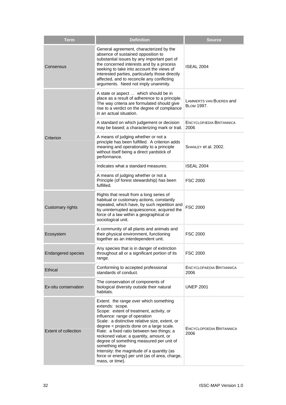| <b>Term</b>               | <b>Definition</b>                                                                                                                                                                                                                                                                                                                                                                                                                                                                                            | <b>Source</b>                                |
|---------------------------|--------------------------------------------------------------------------------------------------------------------------------------------------------------------------------------------------------------------------------------------------------------------------------------------------------------------------------------------------------------------------------------------------------------------------------------------------------------------------------------------------------------|----------------------------------------------|
| Consensus                 | General agreement, characterized by the<br>absence of sustained opposition to<br>substantial issues by any important part of<br>the concerned interests and by a process<br>seeking to take into account the views of<br>interested parties, particularly those directly<br>affected, and to reconcile any conflicting<br>arguments. Need not imply unanimity.                                                                                                                                               | <b>ISEAL 2004</b>                            |
|                           | A state or aspect  which should be in<br>place as a result of adherence to a principle.<br>The way criteria are formulated should give<br>rise to a verdict on the degree of compliance<br>in an actual situation.                                                                                                                                                                                                                                                                                           | LAMMERTS VAN BUEREN and<br><b>BLOM 1997.</b> |
|                           | A standard on which judgement or decision<br>may be based; a characterizing mark or trait.                                                                                                                                                                                                                                                                                                                                                                                                                   | ENCYCLOPÆDIA BRITANNICA<br>2006              |
| Criterion                 | A means of judging whether or not a<br>principle has been fulfilled. A criterion adds<br>meaning and operationality to a principle<br>without itself being a direct yardstick of<br>performance.                                                                                                                                                                                                                                                                                                             | SHANLEY et al. 2002.                         |
|                           | Indicates what a standard measures.                                                                                                                                                                                                                                                                                                                                                                                                                                                                          | ISEAL 2004                                   |
|                           | A means of judging whether or not a<br>Principle (of forest stewardship) has been<br>fulfilled.                                                                                                                                                                                                                                                                                                                                                                                                              | <b>FSC 2000</b>                              |
| Customary rights          | Rights that result from a long series of<br>habitual or customary actions, constantly<br>repeated, which have, by such repetition and<br>by uninterrupted acquiescence, acquired the<br>force of a law within a geographical or<br>sociological unit.                                                                                                                                                                                                                                                        | <b>FSC 2000</b>                              |
| Ecosystem                 | A community of all plants and animals and<br>their physical environment, functioning<br>together as an interdependent unit.                                                                                                                                                                                                                                                                                                                                                                                  | <b>FSC 2000</b>                              |
| <b>Endangered species</b> | Any species that is in danger of extinction<br>throughout all or a significant portion of its<br>range.                                                                                                                                                                                                                                                                                                                                                                                                      | <b>FSC 2000</b>                              |
| Ethical                   | Conforming to accepted professional<br>standards of conduct.                                                                                                                                                                                                                                                                                                                                                                                                                                                 | <b>ENCYCLOPAEDIA BRITANNICA</b><br>2006      |
| Ex-situ conservation      | The conservation of components of<br>biological diversity outside their natural<br>habitats.                                                                                                                                                                                                                                                                                                                                                                                                                 | <b>UNEP 2001</b>                             |
| Extent of collection      | Extent: the range over which something<br>extends: scope.<br>Scope: extent of treatment, activity, or<br>influence: range of operation<br>Scale: a distinctive relative size, extent, or<br>degree < projects done on a large scale.<br>Rate: a fixed ratio between two things; a<br>reckoned value; a quantity, amount, or<br>degree of something measured per unit of<br>something else<br>Intensity: the magnitude of a quantity (as<br>force or energy) per unit (as of area, charge,<br>mass, or time). | ENCYCLOPOEDIA BRITANNICA<br>2006             |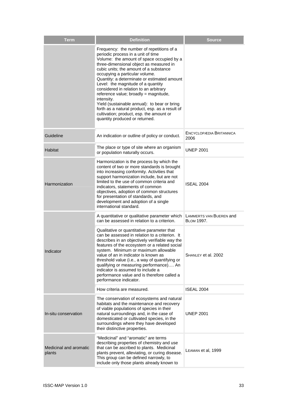| <b>Term</b>                      | <b>Definition</b>                                                                                                                                                                                                                                                                                                                                                                                                                                                                                                                                                                                                          | <b>Source</b>                                |
|----------------------------------|----------------------------------------------------------------------------------------------------------------------------------------------------------------------------------------------------------------------------------------------------------------------------------------------------------------------------------------------------------------------------------------------------------------------------------------------------------------------------------------------------------------------------------------------------------------------------------------------------------------------------|----------------------------------------------|
|                                  | Frequency: the number of repetitions of a<br>periodic process in a unit of time<br>Volume: the amount of space occupied by a<br>three-dimensional object as measured in<br>cubic units; the amount of a substance<br>occupying a particular volume.<br>Quantity: a determinate or estimated amount<br>Level: the magnitude of a quantity<br>considered in relation to an arbitrary<br>reference value; broadly = magnitude,<br>intensity.<br>Yield (sustainable annual): to bear or bring<br>forth as a natural product, esp. as a result of<br>cultivation; product, esp. the amount or<br>quantity produced or returned. |                                              |
| Guideline                        | An indication or outline of policy or conduct.                                                                                                                                                                                                                                                                                                                                                                                                                                                                                                                                                                             | ENCYCLOPÆDIA BRITANNICA<br>2006              |
| <b>Habitat</b>                   | The place or type of site where an organism<br>or population naturally occurs.                                                                                                                                                                                                                                                                                                                                                                                                                                                                                                                                             | <b>UNEP 2001</b>                             |
| Harmonization                    | Harmonization is the process by which the<br>content of two or more standards is brought<br>into increasing conformity. Activities that<br>support harmonization include, but are not<br>limited to the use of common criteria and<br>indicators, statements of common<br>objectives, adoption of common structures<br>for presentation of standards, and<br>development and adoption of a single<br>international standard.                                                                                                                                                                                               | <b>ISEAL 2004</b>                            |
|                                  | A quantitative or qualitative parameter which<br>can be assessed in relation to a criterion.                                                                                                                                                                                                                                                                                                                                                                                                                                                                                                                               | LAMMERTS VAN BUEREN and<br><b>BLOM 1997.</b> |
| Indicator                        | Qualitative or quantitative parameter that<br>can be assessed in relation to a criterion. It<br>describes in an objectively verifiable way the<br>features of the ecosystem or a related social<br>svstem. Minimum or maximum allowable<br>value of an in indicator is known as<br>threshold value (i.e., a way of quantifying or<br>qualifying or measuring performance) An<br>indicator is assumed to include a<br>performance value and is therefore called a<br>performance indicator.                                                                                                                                 | SHANLEY et al. 2002                          |
|                                  | How criteria are measured.                                                                                                                                                                                                                                                                                                                                                                                                                                                                                                                                                                                                 | <b>ISEAL 2004</b>                            |
| In-situ conservation             | The conservation of ecosystems and natural<br>habitats and the maintenance and recovery<br>of viable populations of species in their<br>natural surroundings and, in the case of<br>domesticated or cultivated species, in the<br>surroundings where they have developed<br>their distinctive properties.                                                                                                                                                                                                                                                                                                                  | <b>UNEP 2001</b>                             |
| Medicinal and aromatic<br>plants | "Medicinal" and "aromatic" are terms<br>describing properties of chemistry and use<br>that can be ascribed to plants. Medicinal<br>plants prevent, alleviating, or curing disease.<br>This group can be defined narrowly, to<br>include only those plants already known to                                                                                                                                                                                                                                                                                                                                                 | LEAMAN et al, 1999                           |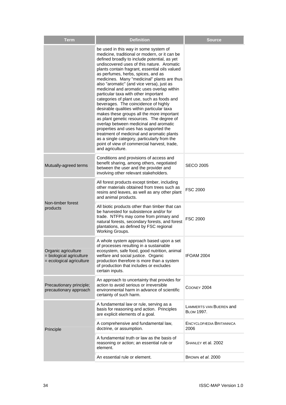| <b>Term</b>                                                                 | <b>Definition</b>                                                                                                                                                                                                                                                                                                                                                                                                                                                                                                                                                                                                                                                                                                                                                                                                                                                                                                                               | <b>Source</b>                                |
|-----------------------------------------------------------------------------|-------------------------------------------------------------------------------------------------------------------------------------------------------------------------------------------------------------------------------------------------------------------------------------------------------------------------------------------------------------------------------------------------------------------------------------------------------------------------------------------------------------------------------------------------------------------------------------------------------------------------------------------------------------------------------------------------------------------------------------------------------------------------------------------------------------------------------------------------------------------------------------------------------------------------------------------------|----------------------------------------------|
|                                                                             | be used in this way in some system of<br>medicine, traditional or modern, or it can be<br>defined broadly to include potential, as yet<br>undiscovered uses of this nature. Aromatic<br>plants contain fragrant, essential oils valued<br>as perfumes, herbs, spices, and as<br>medicines. Many "medicinal" plants are thus<br>also "aromatic" (and vice versa), just as<br>medicinal and aromatic uses overlap within<br>particular taxa with other important<br>categories of plant use, such as foods and<br>beverages. The coincidence of highly<br>desirable qualities within particular taxa<br>makes these groups all the more important<br>as plant genetic resources. The degree of<br>overlap between medicinal and aromatic<br>properties and uses has supported the<br>treatment of medicinal and aromatic plants<br>as a single category, particularly from the<br>point of view of commercial harvest, trade,<br>and agriculture. |                                              |
| Mutually-agreed terms                                                       | Conditions and provisions of access and<br>benefit sharing, among others, negotiated<br>between the user and the provider and<br>involving other relevant stakeholders.                                                                                                                                                                                                                                                                                                                                                                                                                                                                                                                                                                                                                                                                                                                                                                         | <b>SECO 2005</b>                             |
|                                                                             | All forest products except timber, including<br>other materials obtained from trees such as<br>resins and leaves, as well as any other plant<br>and animal products.                                                                                                                                                                                                                                                                                                                                                                                                                                                                                                                                                                                                                                                                                                                                                                            | <b>FSC 2000</b>                              |
| Non-timber forest<br>products                                               | All biotic products other than timber that can<br>be harvested for subsistence and/or for<br>trade. NTFPs may come from primary and<br>natural forests, secondary forests, and forest<br>plantations, as defined by FSC regional<br>Working Groups.                                                                                                                                                                                                                                                                                                                                                                                                                                                                                                                                                                                                                                                                                             | <b>FSC 2000</b>                              |
| Organic agriculture<br>= biological agriculture<br>= ecological agriculture | A whole system approach based upon a set<br>of processes resulting in a sustainable<br>ecosystem, safe food, good nutrition, animal<br>welfare and social justice. Organic<br>production therefore is more than a system<br>of production that includes or excludes<br>certain inputs.                                                                                                                                                                                                                                                                                                                                                                                                                                                                                                                                                                                                                                                          | IFOAM 2004                                   |
| Precautionary principle;<br>precautionary approach                          | An approach to uncertainty that provides for<br>action to avoid serious or irreversible<br>environmental harm in advance of scientific<br>certainty of such harm.                                                                                                                                                                                                                                                                                                                                                                                                                                                                                                                                                                                                                                                                                                                                                                               | COONEY 2004                                  |
|                                                                             | A fundamental law or rule, serving as a<br>basis for reasoning and action. Principles<br>are explicit elements of a goal.                                                                                                                                                                                                                                                                                                                                                                                                                                                                                                                                                                                                                                                                                                                                                                                                                       | LAMMERTS VAN BUEREN and<br><b>BLOM 1997.</b> |
| Principle                                                                   | A comprehensive and fundamental law,<br>doctrine, or assumption.                                                                                                                                                                                                                                                                                                                                                                                                                                                                                                                                                                                                                                                                                                                                                                                                                                                                                | ENCYCLOPÆDIA BRITANNICA<br>2006              |
|                                                                             | A fundamental truth or law as the basis of<br>reasoning or action; an essential rule or<br>element.                                                                                                                                                                                                                                                                                                                                                                                                                                                                                                                                                                                                                                                                                                                                                                                                                                             | SHANLEY et al. 2002                          |
|                                                                             | An essential rule or element.                                                                                                                                                                                                                                                                                                                                                                                                                                                                                                                                                                                                                                                                                                                                                                                                                                                                                                                   | BROWN et al. 2000                            |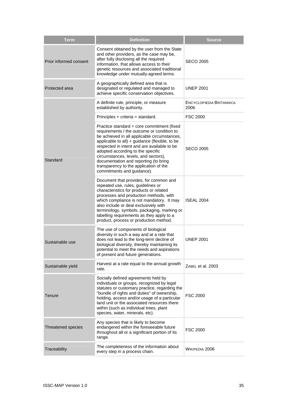| <b>Term</b>            | <b>Definition</b>                                                                                                                                                                                                                                                                                                                                                                                                                       | <b>Source</b>                   |
|------------------------|-----------------------------------------------------------------------------------------------------------------------------------------------------------------------------------------------------------------------------------------------------------------------------------------------------------------------------------------------------------------------------------------------------------------------------------------|---------------------------------|
| Prior informed consent | Consent obtained by the user from the State<br>and other providers, as the case may be,<br>after fully disclosing all the required<br>information, that allows access to their<br>genetic resources and associated traditional<br>knowledge under mutually-agreed terms.                                                                                                                                                                | SECO 2005                       |
| Protected area         | A geographically defined area that is<br>designated or regulated and managed to<br>achieve specific conservation objectives.                                                                                                                                                                                                                                                                                                            | <b>UNEP 2001</b>                |
|                        | A definite rule, principle, or measure<br>established by authority.                                                                                                                                                                                                                                                                                                                                                                     | ENCYCLOPÆDIA BRITANNICA<br>2006 |
|                        | Principles + criteria = standard.                                                                                                                                                                                                                                                                                                                                                                                                       | <b>FSC 2000</b>                 |
| Standard               | Practice standard = core commitment (fixed<br>requirements / the outcome or condition to<br>be achieved in all applicable circumstances,<br>applicable to all) + guidance (flexible, to be<br>respected in intent and are available to be<br>adopted according to the specific<br>circumstances, levels, and sectors),<br>documentation and reporting (to bring<br>transparency to the application of the<br>commitments and guidance). | SECO 2005                       |
|                        | Document that provides, for common and<br>repeated use, rules, guidelines or<br>characteristics for products or related<br>processes and production methods, with<br>which compliance is not mandatory. It may<br>also include or deal exclusively with<br>terminology, symbols, packaging, marking or<br>labelling requirements as they apply to a<br>product, process or production method.                                           | <b>ISEAL 2004</b>               |
| Sustainable use        | The use of components of biological<br>diversity in such a way and at a rate that<br>does not lead to the long-term decline of<br>biological diversity, thereby maintaining its<br>potential to meet the needs and aspirations<br>of present and future generations.                                                                                                                                                                    | <b>UNEP 2001</b>                |
| Sustainable yield      | Harvest at a rate equal to the annual growth<br>rate.                                                                                                                                                                                                                                                                                                                                                                                   | ZABEL et al. 2003               |
| Tenure                 | Socially defined agreements held by<br>individuals or groups, recognized by legal<br>statutes or customary practice, regarding the<br>"bundle of rights and duties" of ownership,<br>holding, access and/or usage of a particular<br>land unit or the associated resources there<br>within (such as individual trees, plant<br>species, water, minerals, etc).                                                                          | <b>FSC 2000</b>                 |
| Threatened species     | Any species that is likely to become<br>endangered within the foreseeable future<br>throughout all or a significant portion of its<br>range.                                                                                                                                                                                                                                                                                            | <b>FSC 2000</b>                 |
| Traceability           | The completeness of the information about<br>every step in a process chain.                                                                                                                                                                                                                                                                                                                                                             | WIKIPEDIA 2006                  |